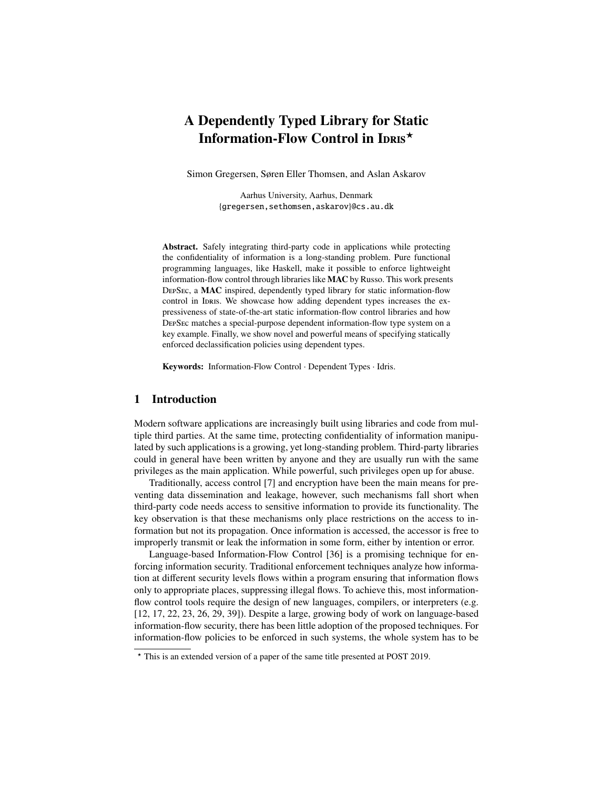# A Dependently Typed Library for Static Information-Flow Control in IDRIS<sup> $\star$ </sup>

Simon Gregersen, Søren Eller Thomsen, and Aslan Askarov

Aarhus University, Aarhus, Denmark {gregersen,sethomsen,askarov}@cs.au.dk

Abstract. Safely integrating third-party code in applications while protecting the confidentiality of information is a long-standing problem. Pure functional programming languages, like Haskell, make it possible to enforce lightweight information-flow control through libraries like MAC by Russo. This work presents DepSec, a MAC inspired, dependently typed library for static information-flow control in Ibris. We showcase how adding dependent types increases the expressiveness of state-of-the-art static information-flow control libraries and how DepSec matches a special-purpose dependent information-flow type system on a key example. Finally, we show novel and powerful means of specifying statically enforced declassification policies using dependent types.

Keywords: Information-Flow Control · Dependent Types · Idris.

# 1 Introduction

Modern software applications are increasingly built using libraries and code from multiple third parties. At the same time, protecting confidentiality of information manipulated by such applications is a growing, yet long-standing problem. Third-party libraries could in general have been written by anyone and they are usually run with the same privileges as the main application. While powerful, such privileges open up for abuse.

Traditionally, access control [7] and encryption have been the main means for preventing data dissemination and leakage, however, such mechanisms fall short when third-party code needs access to sensitive information to provide its functionality. The key observation is that these mechanisms only place restrictions on the access to information but not its propagation. Once information is accessed, the accessor is free to improperly transmit or leak the information in some form, either by intention or error.

Language-based Information-Flow Control [36] is a promising technique for enforcing information security. Traditional enforcement techniques analyze how information at different security levels flows within a program ensuring that information flows only to appropriate places, suppressing illegal flows. To achieve this, most informationflow control tools require the design of new languages, compilers, or interpreters (e.g. [12, 17, 22, 23, 26, 29, 39]). Despite a large, growing body of work on language-based information-flow security, there has been little adoption of the proposed techniques. For information-flow policies to be enforced in such systems, the whole system has to be

<sup>?</sup> This is an extended version of a paper of the same title presented at POST 2019.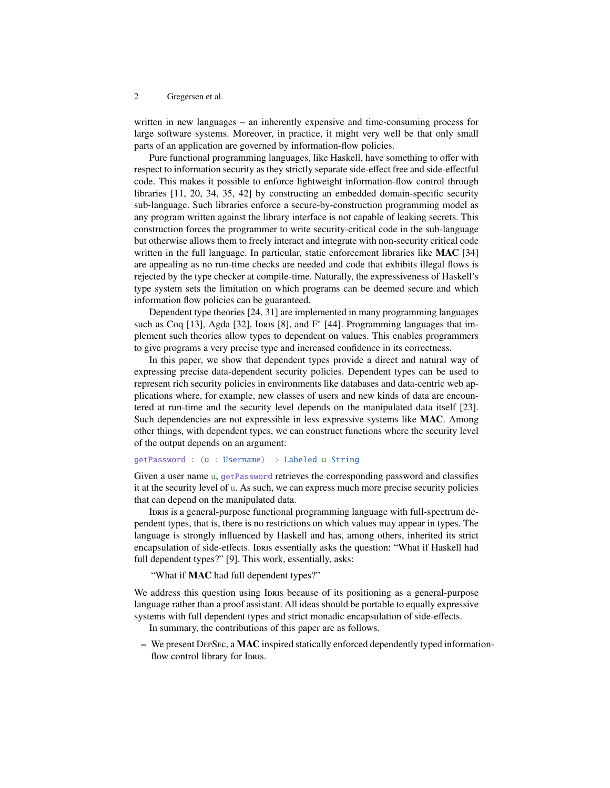written in new languages – an inherently expensive and time-consuming process for large software systems. Moreover, in practice, it might very well be that only small parts of an application are governed by information-flow policies.

Pure functional programming languages, like Haskell, have something to offer with respect to information security as they strictly separate side-effect free and side-effectful code. This makes it possible to enforce lightweight information-flow control through libraries [11, 20, 34, 35, 42] by constructing an embedded domain-specific security sub-language. Such libraries enforce a secure-by-construction programming model as any program written against the library interface is not capable of leaking secrets. This construction forces the programmer to write security-critical code in the sub-language but otherwise allows them to freely interact and integrate with non-security critical code written in the full language. In particular, static enforcement libraries like **MAC** [34] are appealing as no run-time checks are needed and code that exhibits illegal flows is rejected by the type checker at compile-time. Naturally, the expressiveness of Haskell's type system sets the limitation on which programs can be deemed secure and which information flow policies can be guaranteed.

Dependent type theories [24, 31] are implemented in many programming languages such as Coq [13], Agda [32], Ibris [8], and  $F^*$  [44]. Programming languages that implement such theories allow types to dependent on values. This enables programmers to give programs a very precise type and increased confidence in its correctness.

In this paper, we show that dependent types provide a direct and natural way of expressing precise data-dependent security policies. Dependent types can be used to represent rich security policies in environments like databases and data-centric web applications where, for example, new classes of users and new kinds of data are encountered at run-time and the security level depends on the manipulated data itself [23]. Such dependencies are not expressible in less expressive systems like MAC. Among other things, with dependent types, we can construct functions where the security level of the output depends on an argument:

## getPassword : (u : Username) -> Labeled u String

Given a user name u, getPassword retrieves the corresponding password and classifies it at the security level of u. As such, we can express much more precise security policies that can depend on the manipulated data.

IDRIS is a general-purpose functional programming language with full-spectrum dependent types, that is, there is no restrictions on which values may appear in types. The language is strongly influenced by Haskell and has, among others, inherited its strict encapsulation of side-effects. Idris essentially asks the question: "What if Haskell had full dependent types?" [9]. This work, essentially, asks:

"What if **MAC** had full dependent types?"

We address this question using Ipris because of its positioning as a general-purpose language rather than a proof assistant. All ideas should be portable to equally expressive systems with full dependent types and strict monadic encapsulation of side-effects.

In summary, the contributions of this paper are as follows.

– We present DepSec, a MAC inspired statically enforced dependently typed informationflow control library for IDRIS.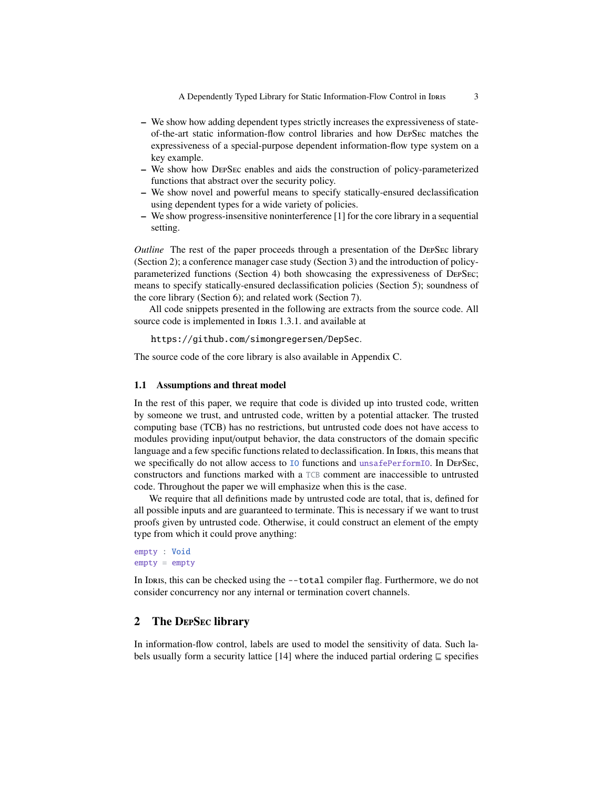A Dependently Typed Library for Static Information-Flow Control in IDRIS 3

- We show how adding dependent types strictly increases the expressiveness of stateof-the-art static information-flow control libraries and how DepSec matches the expressiveness of a special-purpose dependent information-flow type system on a key example.
- We show how DepSec enables and aids the construction of policy-parameterized functions that abstract over the security policy.
- We show novel and powerful means to specify statically-ensured declassification using dependent types for a wide variety of policies.
- We show progress-insensitive noninterference [1] for the core library in a sequential setting.

*Outline* The rest of the paper proceeds through a presentation of the DEPSEC library (Section 2); a conference manager case study (Section 3) and the introduction of policyparameterized functions (Section 4) both showcasing the expressiveness of DEPSEC; means to specify statically-ensured declassification policies (Section 5); soundness of the core library (Section 6); and related work (Section 7).

All code snippets presented in the following are extracts from the source code. All source code is implemented in Ibris 1.3.1. and available at

https://github.com/simongregersen/DepSec.

The source code of the core library is also available in Appendix C.

## 1.1 Assumptions and threat model

In the rest of this paper, we require that code is divided up into trusted code, written by someone we trust, and untrusted code, written by a potential attacker. The trusted computing base (TCB) has no restrictions, but untrusted code does not have access to modules providing input/output behavior, the data constructors of the domain specific language and a few specific functions related to declassification. In Ibris, this means that we specifically do not allow access to 10 functions and unsafePerform10. In DEPSEC, constructors and functions marked with a TCB comment are inaccessible to untrusted code. Throughout the paper we will emphasize when this is the case.

We require that all definitions made by untrusted code are total, that is, defined for all possible inputs and are guaranteed to terminate. This is necessary if we want to trust proofs given by untrusted code. Otherwise, it could construct an element of the empty type from which it could prove anything:

empty : Void empty = empty

In Ibris, this can be checked using the --total compiler flag. Furthermore, we do not consider concurrency nor any internal or termination covert channels.

# 2 The DepSec library

In information-flow control, labels are used to model the sensitivity of data. Such labels usually form a security lattice [14] where the induced partial ordering  $\subseteq$  specifies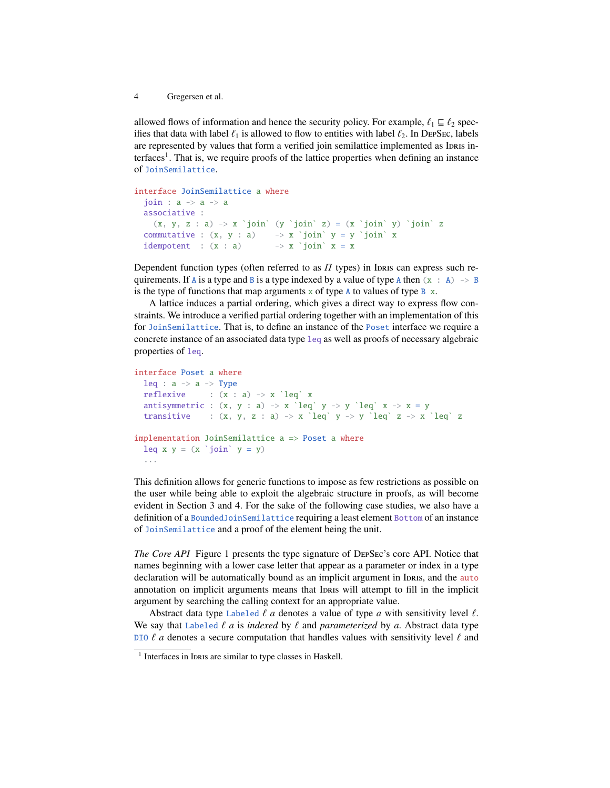allowed flows of information and hence the security policy. For example,  $\ell_1 \sqsubseteq \ell_2$  specifies that data with label  $\ell_1$  is allowed to flow to entities with label  $\ell_2$ . In DepSec, labels are represented by values that form a verified join semilattice implemented as IDRIS interfaces<sup>1</sup>. That is, we require proofs of the lattice properties when defining an instance of JoinSemilattice.

```
interface JoinSemilattice a where
```

```
join : a \rightarrow a \rightarrow aassociative :
  (x, y, z : a) \rightarrow x 'join' (y 'join' z) = (x 'join' y) 'join' z
commutative : (x, y : a) \rightarrow x 'join' y = y 'join' x
idempotent : (x : a) \rightarrow x `join` x = x
```
Dependent function types (often referred to as  $\Pi$  types) in Idris can express such requirements. If A is a type and B is a type indexed by a value of type A then  $(x : A) \rightarrow B$ is the type of functions that map arguments x of type A to values of type  $\overline{B}$  x.

A lattice induces a partial ordering, which gives a direct way to express flow constraints. We introduce a verified partial ordering together with an implementation of this for JoinSemilattice. That is, to define an instance of the Poset interface we require a concrete instance of an associated data type leq as well as proofs of necessary algebraic properties of leq.

```
interface Poset a where
  leq : a \rightarrow a \rightarrow Typereflexive : (x : a) \rightarrow x 'leq' x
  antisymmetric : (x, y : a) \rightarrow x 'leq' y \rightarrow y 'leq' x \rightarrow x = ytransitive : (x, y, z : a) \rightarrow x 'leq' y \rightarrow y 'leq' z \rightarrow x 'leq' z
implementation JoinSemilattice a => Poset a where
  leq x y = (x \text{ 'join' } y = y)...
```
This definition allows for generic functions to impose as few restrictions as possible on the user while being able to exploit the algebraic structure in proofs, as will become evident in Section 3 and 4. For the sake of the following case studies, we also have a definition of a BoundedJoinSemilattice requiring a least element Bottom of an instance of JoinSemilattice and a proof of the element being the unit.

*The Core API* Figure 1 presents the type signature of DepSec's core API. Notice that names beginning with a lower case letter that appear as a parameter or index in a type declaration will be automatically bound as an implicit argument in Ipris, and the auto annotation on implicit arguments means that Ibris will attempt to fill in the implicit argument by searching the calling context for an appropriate value.

Abstract data type Labeled  $\ell$  *a* denotes a value of type *a* with sensitivity level  $\ell$ . We say that Labeled  $\ell$  *a* is *indexed* by  $\ell$  and *parameterized* by *a*. Abstract data type DIO  $\ell$  *a* denotes a secure computation that handles values with sensitivity level  $\ell$  and

<sup>&</sup>lt;sup>1</sup> Interfaces in IDRIS are similar to type classes in Haskell.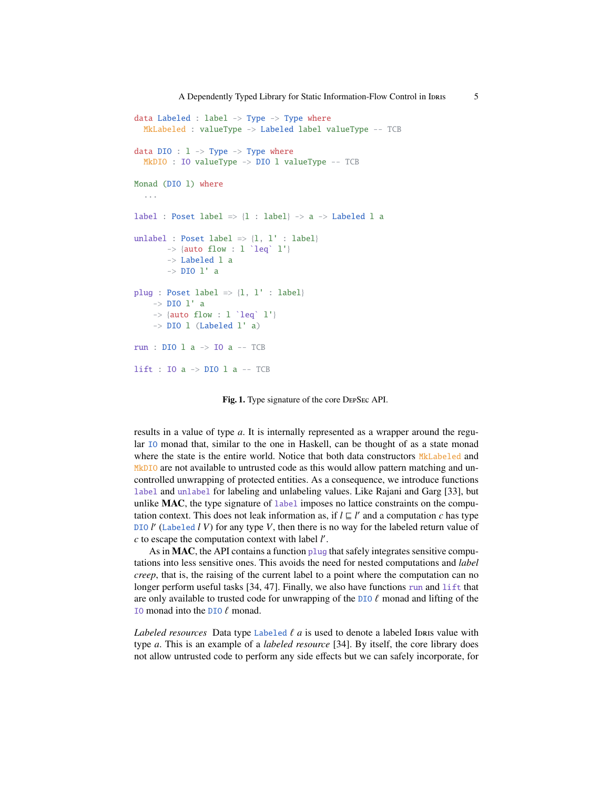```
data Labeled : label \rightarrow Type \rightarrow Type where
  MkLabeled : valueType -> Labeled label valueType -- TCB
data DIO : 1 \rightarrow Type \rightarrow Type where
  MkDIO : IO valueType -> DIO l valueType -- TCB
Monad (DIO l) where
  ...
label : Poset label \Rightarrow {1 : label} \Rightarrow a \Rightarrow Labeled 1 a
unlabel : Poset label \Rightarrow {1, 1' : label}
        \rightarrow {auto flow : l `leq` l'}
        -> Labeled l a
        \rightarrow DIO 1' a
plug : Poset label \Rightarrow {1, 1' : label}
     -> DIO l' a
     \rightarrow {auto flow : l `leq` l'}
     \rightarrow DIO 1 (Labeled 1' a)
run : DIO 1 a \rightarrow 10 a -- TCB
lift: IO a \rightarrow DIO 1 a -- TCB
```
Fig. 1. Type signature of the core DepSec API.

results in a value of type *a*. It is internally represented as a wrapper around the regular IO monad that, similar to the one in Haskell, can be thought of as a state monad where the state is the entire world. Notice that both data constructors MkLabeled and MkDIO are not available to untrusted code as this would allow pattern matching and uncontrolled unwrapping of protected entities. As a consequence, we introduce functions label and unlabel for labeling and unlabeling values. Like Rajani and Garg [33], but unlike MAC, the type signature of label imposes no lattice constraints on the computation context. This does not leak information as, if  $l \subseteq l'$  and a computation *c* has type DIO *l* 0 (Labeled *l V*) for any type *V*, then there is no way for the labeled return value of  $c$  to escape the computation context with label  $l'$ .

As in MAC, the API contains a function plug that safely integrates sensitive computations into less sensitive ones. This avoids the need for nested computations and *label creep*, that is, the raising of the current label to a point where the computation can no longer perform useful tasks [34, 47]. Finally, we also have functions run and lift that are only available to trusted code for unwrapping of the  $DIO \ell$  monad and lifting of the IO monad into the DIO  $\ell$  monad.

*Labeled resources* Data type Labeled  $\ell$  *a* is used to denote a labeled Inns value with type *a*. This is an example of a *labeled resource* [34]. By itself, the core library does not allow untrusted code to perform any side effects but we can safely incorporate, for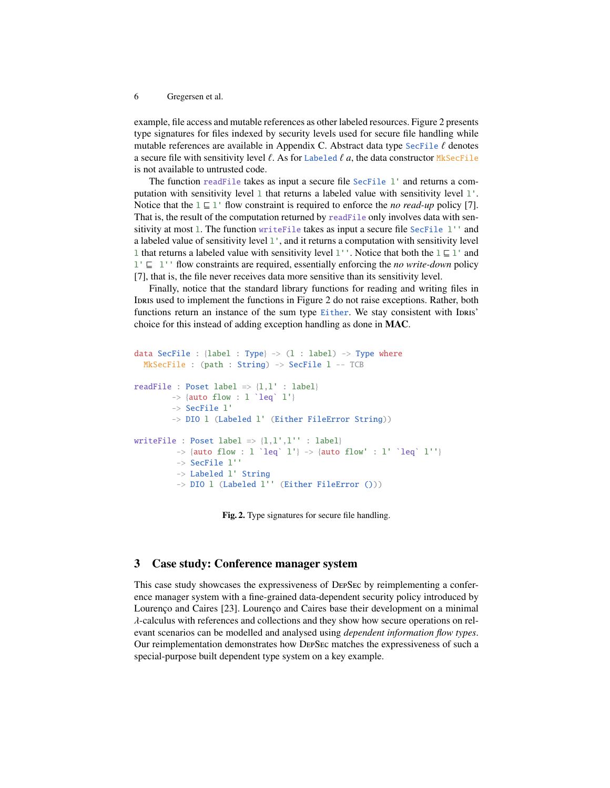example, file access and mutable references as other labeled resources. Figure 2 presents type signatures for files indexed by security levels used for secure file handling while mutable references are available in Appendix C. Abstract data type  $\text{SecFile } \ell$  denotes a secure file with sensitivity level  $\ell$ . As for Labeled  $\ell$  *a*, the data constructor MkSecFile is not available to untrusted code.

The function readFile takes as input a secure file SecFile l' and returns a computation with sensitivity level l that returns a labeled value with sensitivity level l'. Notice that the  $1 \sqsubseteq 1'$  flow constraint is required to enforce the *no read-up* policy [7]. That is, the result of the computation returned by readFile only involves data with sensitivity at most l. The function writeFile takes as input a secure file SecFile l'' and a labeled value of sensitivity level  $1$ <sup>'</sup>, and it returns a computation with sensitivity level 1 that returns a labeled value with sensitivity level  $1'$ . Notice that both the  $1 \sqsubseteq 1'$  and  $l' \subseteq l'$  flow constraints are required, essentially enforcing the *no write-down* policy [7], that is, the file never receives data more sensitive than its sensitivity level.

Finally, notice that the standard library functions for reading and writing files in IDRIS used to implement the functions in Figure 2 do not raise exceptions. Rather, both functions return an instance of the sum type Either. We stay consistent with Idris' choice for this instead of adding exception handling as done in MAC.

```
data SecFile : {label : Type} \rightarrow (1 : label) \rightarrow Type where
  MkSecFile : (path : String) -> SecFile 1 -- TCB
readFile : Poset label \Rightarrow {1,1' : label}
         \rightarrow {auto flow : l `leq` l'}
         -> SecFile l'
         -> DIO l (Labeled l' (Either FileError String))
writeFile : Poset label => \{1,1',1'' : \text{label}\}\Rightarrow {auto flow : l `leq` l'} \Rightarrow {auto flow' : l' `leq` l''}
          -> SecFile l''
          -> Labeled l' String
          -> DIO l (Labeled l'' (Either FileError ()))
```
Fig. 2. Type signatures for secure file handling.

## 3 Case study: Conference manager system

This case study showcases the expressiveness of DepSec by reimplementing a conference manager system with a fine-grained data-dependent security policy introduced by Lourenco and Caires [23]. Lourenco and Caires base their development on a minimal  $\lambda$ -calculus with references and collections and they show how secure operations on relevant scenarios can be modelled and analysed using *dependent information flow types*. Our reimplementation demonstrates how DepSec matches the expressiveness of such a special-purpose built dependent type system on a key example.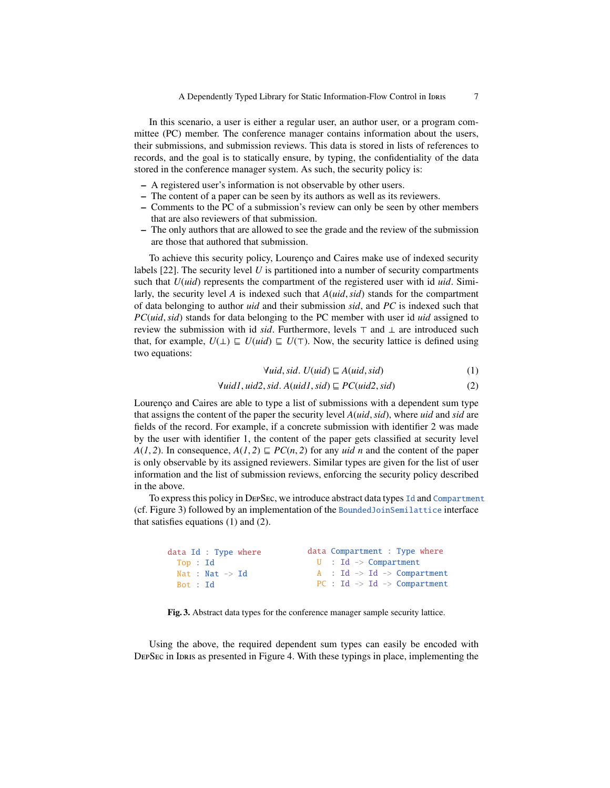In this scenario, a user is either a regular user, an author user, or a program committee (PC) member. The conference manager contains information about the users, their submissions, and submission reviews. This data is stored in lists of references to records, and the goal is to statically ensure, by typing, the confidentiality of the data stored in the conference manager system. As such, the security policy is:

- A registered user's information is not observable by other users.
- The content of a paper can be seen by its authors as well as its reviewers.
- Comments to the PC of a submission's review can only be seen by other members that are also reviewers of that submission.
- The only authors that are allowed to see the grade and the review of the submission are those that authored that submission.

To achieve this security policy, Lourenço and Caires make use of indexed security labels [22]. The security level *U* is partitioned into a number of security compartments such that *U*(*uid*) represents the compartment of the registered user with id *uid*. Similarly, the security level *<sup>A</sup>* is indexed such that *<sup>A</sup>*(*uid*,*sid*) stands for the compartment of data belonging to author *uid* and their submission *sid*, and *PC* is indexed such that *PC*(*uid*,*sid*) stands for data belonging to the PC member with user id *uid* assigned to review the submission with id *sid*. Furthermore, levels  $\top$  and  $\bot$  are introduced such that, for example,  $U(\perp) \sqsubseteq U(\text{uid}) \sqsubseteq U(\top)$ . Now, the security lattice is defined using two equations:

$$
\forall \text{uid, sid. } U(\text{uid}) \sqsubseteq A(\text{uid, sid}) \tag{1}
$$

## $\forall \text{uid1}, \text{uid2}, \text{sid}. A(\text{uid1}, \text{sid}) \sqsubseteq PC(\text{uid2}, \text{sid})$  (2)

Lourenço and Caires are able to type a list of submissions with a dependent sum type that assigns the content of the paper the security level *<sup>A</sup>*(*uid*,*sid*), where *uid* and *sid* are fields of the record. For example, if a concrete submission with identifier 2 was made by the user with identifier 1, the content of the paper gets classified at security level  $A(1, 2)$ . In consequence,  $A(1, 2) \sqsubseteq PC(n, 2)$  for any *uid n* and the content of the paper is only observable by its assigned reviewers. Similar types are given for the list of user information and the list of submission reviews, enforcing the security policy described in the above.

To express this policy in DepSec, we introduce abstract data types Id and Compartment (cf. Figure 3) followed by an implementation of the BoundedJoinSemilattice interface that satisfies equations (1) and (2).

|          | data Id: Type where |  |  |  | data Compartment : Type where                        |
|----------|---------------------|--|--|--|------------------------------------------------------|
| Top: Id  |                     |  |  |  | $U$ : Id $\rightarrow$ Compartment                   |
|          | $Nat : Nat -> Id$   |  |  |  | $A$ : Id $\rightarrow$ Id $\rightarrow$ Compartment  |
| Bot : Id |                     |  |  |  | $PC$ : Id $\rightarrow$ Id $\rightarrow$ Compartment |

Fig. 3. Abstract data types for the conference manager sample security lattice.

Using the above, the required dependent sum types can easily be encoded with DEPSEC in IDRIS as presented in Figure 4. With these typings in place, implementing the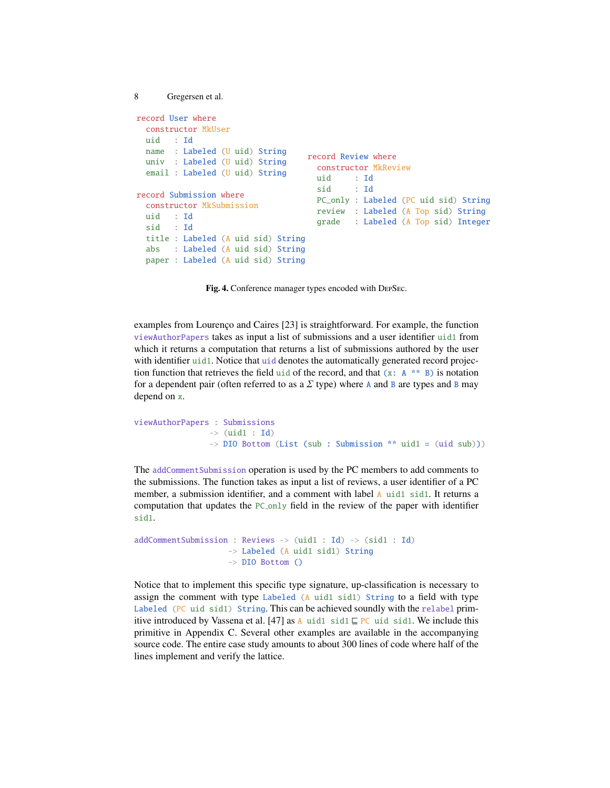```
8 Gregersen et al.
record User where
  constructor MkUser
  uid : Id
  name : Labeled (U uid) String
  univ : Labeled (U uid) String
  email : Labeled (U uid) String
record Submission where
  constructor MkSubmission
  uid : Id
  sid : Id
  title : Labeled (A uid sid) String
  abs : Labeled (A uid sid) String
  paper : Labeled (A uid sid) String
                                  record Review where
                                    constructor MkReview
                                    uid : Id
                                    sid : Id
                                    PC_only : Labeled (PC uid sid) String
                                    review : Labeled (A Top sid) String
                                    grade : Labeled (A Top sid) Integer
```
Fig. 4. Conference manager types encoded with DepSec.

examples from Lourenço and Caires [23] is straightforward. For example, the function viewAuthorPapers takes as input a list of submissions and a user identifier uid1 from which it returns a computation that returns a list of submissions authored by the user with identifier uid1. Notice that uid denotes the automatically generated record projection function that retrieves the field uid of the record, and that  $(x: A^* B)$  is notation for a dependent pair (often referred to as a  $\Sigma$  type) where A and B are types and B may depend on x.

```
viewAuthorPapers : Submissions
                 \rightarrow (uid1 : Id)
                 -> DIO Bottom (List (sub : Submission ** uid1 = (uid sub)))
```
The addCommentSubmission operation is used by the PC members to add comments to the submissions. The function takes as input a list of reviews, a user identifier of a PC member, a submission identifier, and a comment with label  $\bf{A}$  uid1 sid1. It returns a computation that updates the PC\_only field in the review of the paper with identifier sid1.

```
addCommentSubmission : Reviews -> (uid1 : Id) -> (sid1 : Id)
                   -> Labeled (A uid1 sid1) String
                    -> DIO Bottom ()
```
Notice that to implement this specific type signature, up-classification is necessary to assign the comment with type Labeled (A uid1 sid1) String to a field with type Labeled (PC uid sid1) String. This can be achieved soundly with the relabel primitive introduced by Vassena et al. [47] as A uid1 sid1  $\subseteq$  PC uid sid1. We include this primitive in Appendix C. Several other examples are available in the accompanying source code. The entire case study amounts to about 300 lines of code where half of the lines implement and verify the lattice.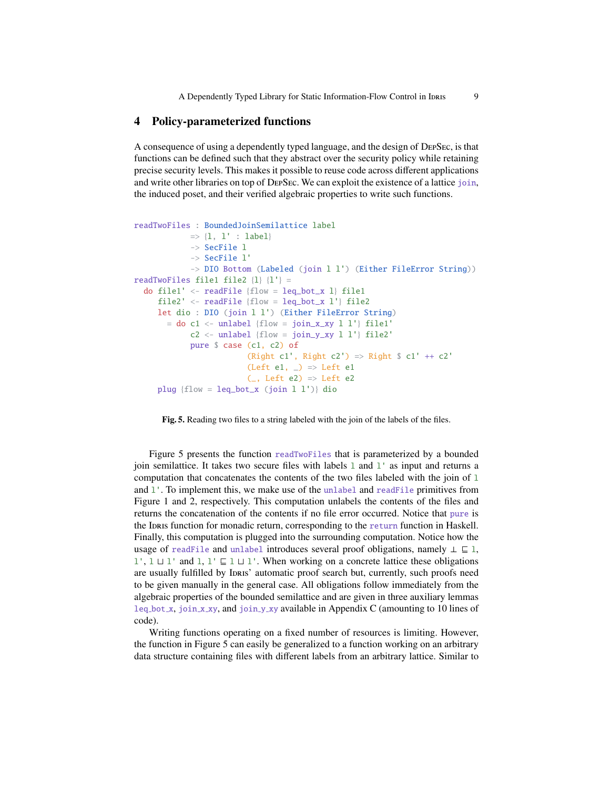A Dependently Typed Library for Static Information-Flow Control in IDRIS 9

## 4 Policy-parameterized functions

A consequence of using a dependently typed language, and the design of DepSec, is that functions can be defined such that they abstract over the security policy while retaining precise security levels. This makes it possible to reuse code across different applications and write other libraries on top of DepSec. We can exploit the existence of a lattice join, the induced poset, and their verified algebraic properties to write such functions.

```
readTwoFiles : BoundedJoinSemilattice label
            \Rightarrow {1, 1' : label}
             -> SecFile l
            -> SecFile l'
            -> DIO Bottom (Labeled (join l l') (Either FileError String))
readTwoFiles file1 file2 \{1\} \{1'\} =
  do file1' \le readFile {flow = leq_bot_x l} file1
     file2' \le readFile {flow = leq_bot_x l'} file2
     let dio : DIO (join l l') (Either FileError String)
       = do c1 \leftarrow unlabel {flow = join_x_xy 1 l'} file1'
            c2 <- unlabel {flow = join_y_xy l l'} file2'
            pure $ case (c1, c2) of
                         (Right c1', Right c2') \Rightarrow Right $ c1' ++ c2'
                         (Left e1, \Box) => Left e1
                         (, Left e2) => Left e2
     plug {flow = leq_bot_x (join l l')} dio
```
Fig. 5. Reading two files to a string labeled with the join of the labels of the files.

Figure 5 presents the function readTwoFiles that is parameterized by a bounded join semilattice. It takes two secure files with labels l and l' as input and returns a computation that concatenates the contents of the two files labeled with the join of  $1$ and l'. To implement this, we make use of the unlabel and readFile primitives from Figure 1 and 2, respectively. This computation unlabels the contents of the files and returns the concatenation of the contents if no file error occurred. Notice that pure is the Ibrus function for monadic return, corresponding to the return function in Haskell. Finally, this computation is plugged into the surrounding computation. Notice how the usage of readFile and unlabel introduces several proof obligations, namely  $\bot \sqsubseteq 1$ ,  $l', l \sqcup l'$  and  $l, l' \sqsubseteq l \sqcup l'$ . When working on a concrete lattice these obligations are usually fulfilled by IDRIS' automatic proof search but, currently, such proofs need to be given manually in the general case. All obligations follow immediately from the algebraic properties of the bounded semilattice and are given in three auxiliary lemmas leq bot x, join x xy, and join y xy available in Appendix C (amounting to 10 lines of code).

Writing functions operating on a fixed number of resources is limiting. However, the function in Figure 5 can easily be generalized to a function working on an arbitrary data structure containing files with different labels from an arbitrary lattice. Similar to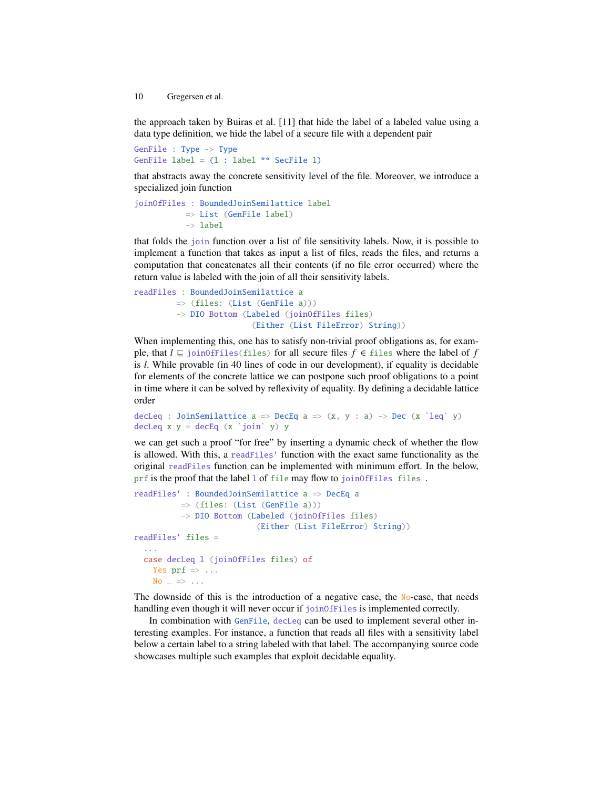the approach taken by Buiras et al. [11] that hide the label of a labeled value using a data type definition, we hide the label of a secure file with a dependent pair

GenFile : Type -> Type GenFile label = (l : label \*\* SecFile l)

that abstracts away the concrete sensitivity level of the file. Moreover, we introduce a specialized join function

```
joinOfFiles : BoundedJoinSemilattice label
            => List (GenFile label)
            \rightarrow label
```
that folds the join function over a list of file sensitivity labels. Now, it is possible to implement a function that takes as input a list of files, reads the files, and returns a computation that concatenates all their contents (if no file error occurred) where the return value is labeled with the join of all their sensitivity labels.

```
readFiles : BoundedJoinSemilattice a
         \Rightarrow (files: (List (GenFile a)))
         -> DIO Bottom (Labeled (joinOfFiles files)
                           (Either (List FileError) String))
```
When implementing this, one has to satisfy non-trivial proof obligations as, for example, that  $l \subseteq$  joinOfFiles(files) for all secure files  $f \in$  files where the label of  $f$ is *l*. While provable (in 40 lines of code in our development), if equality is decidable for elements of the concrete lattice we can postpone such proof obligations to a point in time where it can be solved by reflexivity of equality. By defining a decidable lattice order

```
decLeq : JoinSemilattice a \Rightarrow DecEq a \Rightarrow (x, y : a) \Rightarrow Dec (x \leqleq y)decLeq x y = decEq (x \text{ 'join' } y) y
```
we can get such a proof "for free" by inserting a dynamic check of whether the flow is allowed. With this, a readFiles' function with the exact same functionality as the original readFiles function can be implemented with minimum effort. In the below, prf is the proof that the label l of file may flow to joinOfFiles files .

```
readFiles' : BoundedJoinSemilattice a => DecEq a
          => (files: (List (GenFile a)))
          -> DIO Bottom (Labeled (joinOfFiles files)
                           (Either (List FileError) String))
readFiles' files =
  ...
  case decLeq l (joinOfFiles files) of
    Yes prf \Rightarrow ...No = \implies ...
```
The downside of this is the introduction of a negative case, the No-case, that needs handling even though it will never occur if joinOfFiles is implemented correctly.

In combination with GenFile, decLeq can be used to implement several other interesting examples. For instance, a function that reads all files with a sensitivity label below a certain label to a string labeled with that label. The accompanying source code showcases multiple such examples that exploit decidable equality.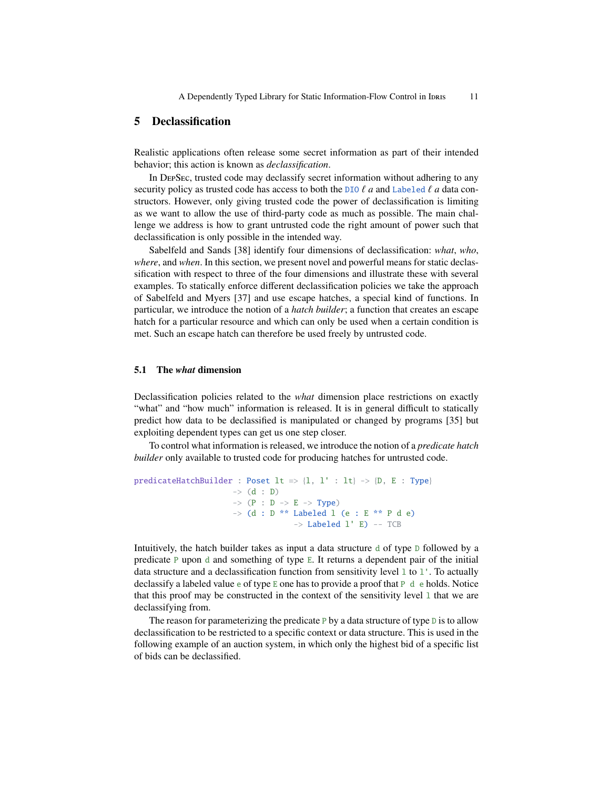# 5 Declassification

Realistic applications often release some secret information as part of their intended behavior; this action is known as *declassification*.

In DepSec, trusted code may declassify secret information without adhering to any security policy as trusted code has access to both the DIO  $\ell$  *a* and Labeled  $\ell$  *a* data constructors. However, only giving trusted code the power of declassification is limiting as we want to allow the use of third-party code as much as possible. The main challenge we address is how to grant untrusted code the right amount of power such that declassification is only possible in the intended way.

Sabelfeld and Sands [38] identify four dimensions of declassification: *what*, *who*, *where*, and *when*. In this section, we present novel and powerful means for static declassification with respect to three of the four dimensions and illustrate these with several examples. To statically enforce different declassification policies we take the approach of Sabelfeld and Myers [37] and use escape hatches, a special kind of functions. In particular, we introduce the notion of a *hatch builder*; a function that creates an escape hatch for a particular resource and which can only be used when a certain condition is met. Such an escape hatch can therefore be used freely by untrusted code.

#### 5.1 The *what* dimension

Declassification policies related to the *what* dimension place restrictions on exactly "what" and "how much" information is released. It is in general difficult to statically predict how data to be declassified is manipulated or changed by programs [35] but exploiting dependent types can get us one step closer.

To control what information is released, we introduce the notion of a *predicate hatch builder* only available to trusted code for producing hatches for untrusted code.

```
predicateHatchBuilder : Poset lt => \{1, 1' : It\} -> \{D, E : Type\}\Rightarrow (d : D)
                             \Rightarrow (P : D \Rightarrow E \Rightarrow Type)
                             \rightarrow (d : D ** Labeled l (e : E ** P d e)
                                               \rightarrow Labeled l' E) \rightarrow TCB
```
Intuitively, the hatch builder takes as input a data structure d of type D followed by a predicate P upon d and something of type E. It returns a dependent pair of the initial data structure and a declassification function from sensitivity level  $1$  to  $1'$ . To actually declassify a labeled value  $\epsilon$  of type E one has to provide a proof that P d  $\epsilon$  holds. Notice that this proof may be constructed in the context of the sensitivity level l that we are declassifying from.

The reason for parameterizing the predicate  $P$  by a data structure of type  $D$  is to allow declassification to be restricted to a specific context or data structure. This is used in the following example of an auction system, in which only the highest bid of a specific list of bids can be declassified.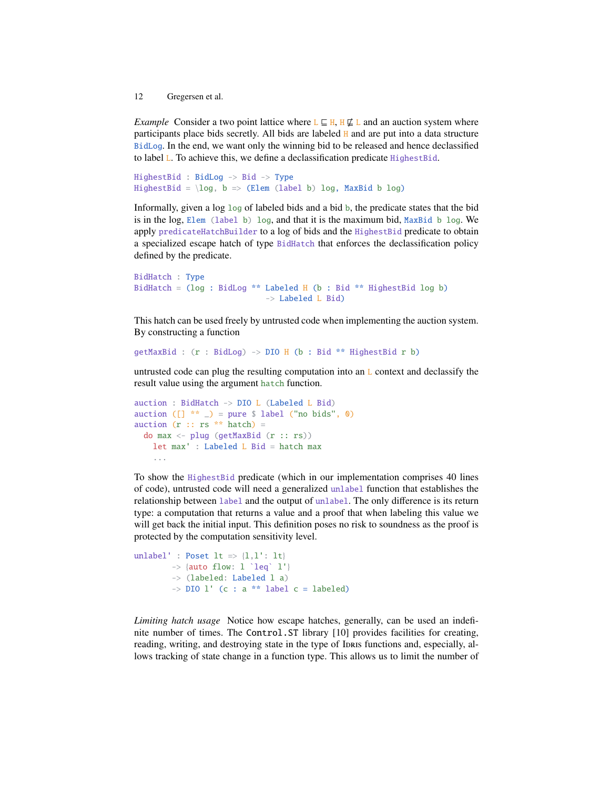*Example* Consider a two point lattice where  $L \subseteq H$ ,  $H \not\sqsubseteq L$  and an auction system where participants place bids secretly. All bids are labeled  $H$  and are put into a data structure BidLog. In the end, we want only the winning bid to be released and hence declassified to label L. To achieve this, we define a declassification predicate HighestBid.

HighestBid : BidLog -> Bid -> Type HighestBid =  $\log$ , b => (Elem (label b) log, MaxBid b log)

Informally, given a log log of labeled bids and a bid b, the predicate states that the bid is in the log, Elem (label b) log, and that it is the maximum bid,  $MaxBid$  b log. We apply predicateHatchBuilder to a log of bids and the HighestBid predicate to obtain a specialized escape hatch of type BidHatch that enforces the declassification policy defined by the predicate.

```
BidHatch : Type
BidHatch = (log : BidLog * * Labeled H (b : Bid ** HighestBid log b)-> Labeled L Bid)
```
This hatch can be used freely by untrusted code when implementing the auction system. By constructing a function

```
getMaxBid : (r : BidLog) \rightarrow DIO H (b : Bid ** HighestBid r b)
```
untrusted code can plug the resulting computation into an L context and declassify the result value using the argument hatch function.

```
auction : BidHatch -> DIO L (Labeled L Bid)
auction [] ** ] = pure $ label ("no bids", 0)
auction (r :: rs ** hatch) =
 do max <- plug (getMaxBid (r :: rs))
    let max' : Labeled L Bid = hatch max
    ...
```
To show the HighestBid predicate (which in our implementation comprises 40 lines of code), untrusted code will need a generalized unlabel function that establishes the relationship between label and the output of unlabel. The only difference is its return type: a computation that returns a value and a proof that when labeling this value we will get back the initial input. This definition poses no risk to soundness as the proof is protected by the computation sensitivity level.

```
unlabel' : Poset lt \Rightarrow \{1, 1': 1t\}\rightarrow {auto flow: l `leq` l'}
         -> (labeled: Labeled l a)
         \rightarrow DIO l' (c : a ** label c = labeled)
```
*Limiting hatch usage* Notice how escape hatches, generally, can be used an indefinite number of times. The Control.ST library [10] provides facilities for creating, reading, writing, and destroying state in the type of Ibrus functions and, especially, allows tracking of state change in a function type. This allows us to limit the number of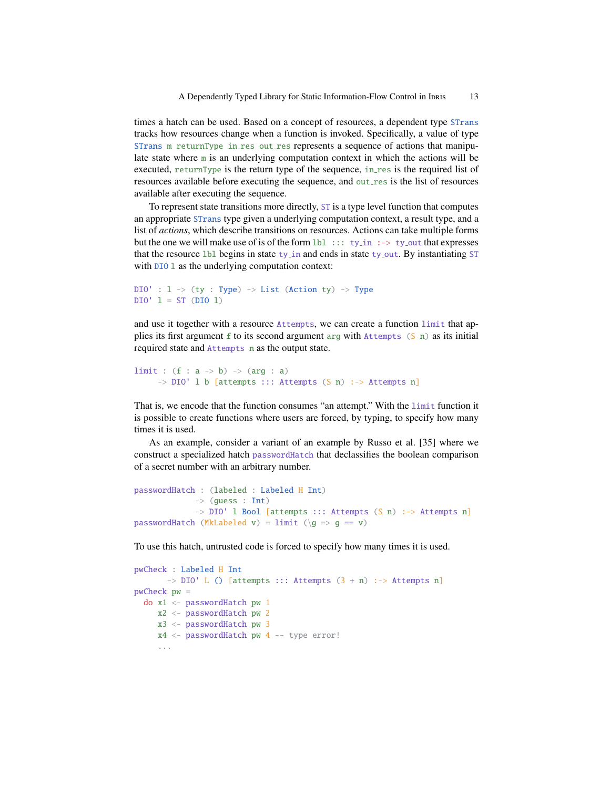times a hatch can be used. Based on a concept of resources, a dependent type STrans tracks how resources change when a function is invoked. Specifically, a value of type STrans  $m$  returnType in res out res represents a sequence of actions that manipulate state where m is an underlying computation context in which the actions will be executed, returnType is the return type of the sequence, in res is the required list of resources available before executing the sequence, and out res is the list of resources available after executing the sequence.

To represent state transitions more directly, ST is a type level function that computes an appropriate STrans type given a underlying computation context, a result type, and a list of *actions*, which describe transitions on resources. Actions can take multiple forms but the one we will make use of is of the form  $1b1 ::: ty_in :-> ty.out that expresses$ that the resource 1b1 begins in state ty in and ends in state ty out. By instantiating  $ST$ with  $DIO1$  as the underlying computation context:

```
DIO' : 1 \rightarrow (ty : Type) \rightarrow List (Action ty) \rightarrow TypeDIO' 1 = ST (DIO 1)
```
and use it together with a resource Attempts, we can create a function limit that applies its first argument f to its second argument arg with Attempts ( $\text{S}$  n) as its initial required state and Attempts n as the output state.

```
limit : (f : a \rightarrow b) \rightarrow (arg : a)-> DIO' l b [attempts ::: Attempts (S n) :-> Attempts n]
```
That is, we encode that the function consumes "an attempt." With the limit function it is possible to create functions where users are forced, by typing, to specify how many times it is used.

As an example, consider a variant of an example by Russo et al. [35] where we construct a specialized hatch passwordHatch that declassifies the boolean comparison of a secret number with an arbitrary number.

```
passwordHatch : (labeled : Labeled H Int)
              \rightarrow (guess : Int)
              \rightarrow DIO' l Bool [attempts ::: Attempts (S n) :-> Attempts n]
passwordHatch (MkLabeled v) = limit (\gtrsim g == v)
```
To use this hatch, untrusted code is forced to specify how many times it is used.

```
pwCheck : Labeled H Int
       \rightarrow DIO' L () [attempts ::: Attempts (3 + n) :-> Attempts n]
pwCheck pw =
  do x1 <- passwordHatch pw 1
     x2 <- passwordHatch pw 2
     x3 <- passwordHatch pw 3
     x4 <- passwordHatch pw 4 -- type error!
     ...
```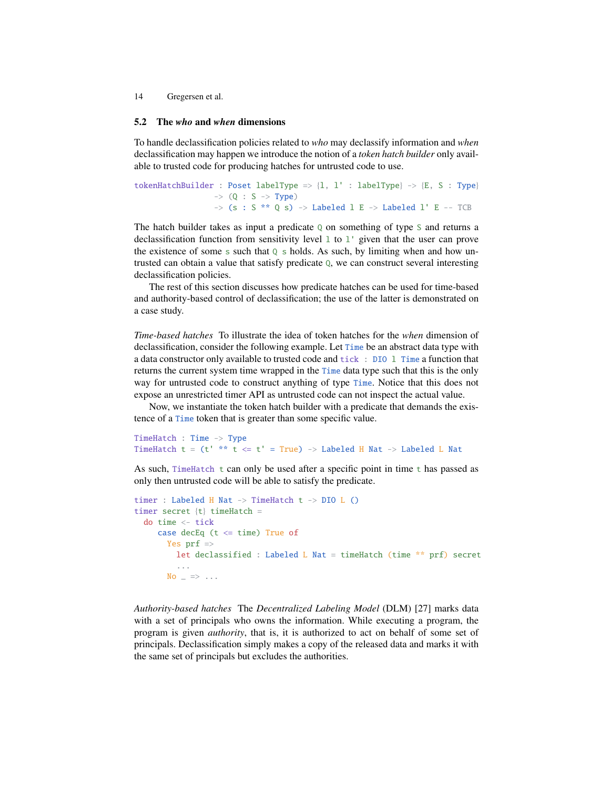### 5.2 The *who* and *when* dimensions

To handle declassification policies related to *who* may declassify information and *when* declassification may happen we introduce the notion of a *token hatch builder* only available to trusted code for producing hatches for untrusted code to use.

```
tokenHatchBuilder : Poset labelType => {1, 1' : labelType} -> {E, S : Type}
                      \Rightarrow (Q : S \Rightarrow Type)
                      \Rightarrow (s : S ** Q s) \Rightarrow Labeled l E \Rightarrow Labeled l' E -- TCB
```
The hatch builder takes as input a predicate  $Q$  on something of type  $S$  and returns a declassification function from sensitivity level l to l' given that the user can prove the existence of some s such that  $Q$  s holds. As such, by limiting when and how untrusted can obtain a value that satisfy predicate Q, we can construct several interesting declassification policies.

The rest of this section discusses how predicate hatches can be used for time-based and authority-based control of declassification; the use of the latter is demonstrated on a case study.

*Time-based hatches* To illustrate the idea of token hatches for the *when* dimension of declassification, consider the following example. Let Time be an abstract data type with a data constructor only available to trusted code and tick : DIO l Time a function that returns the current system time wrapped in the Time data type such that this is the only way for untrusted code to construct anything of type Time. Notice that this does not expose an unrestricted timer API as untrusted code can not inspect the actual value.

Now, we instantiate the token hatch builder with a predicate that demands the existence of a Time token that is greater than some specific value.

TimeHatch : Time -> Type TimeHatch t =  $(t' * t \le t' = True)$  -> Labeled H Nat -> Labeled L Nat

As such, TimeHatch  $t$  can only be used after a specific point in time  $t$  has passed as only then untrusted code will be able to satisfy the predicate.

```
timer : Labeled H Nat \rightarrow TimeHatch t \rightarrow DIO L ()
timer secret \{t\} timeHatch =
  do time <- tick
     case decEq (t \leq t time) True of
        Yes prf \Rightarrowlet declassified : Labeled L Nat = timeHatch (time ** prf) secret
           ...
        No \Box \Rightarrow \ldots
```
*Authority-based hatches* The *Decentralized Labeling Model* (DLM) [27] marks data with a set of principals who owns the information. While executing a program, the program is given *authority*, that is, it is authorized to act on behalf of some set of principals. Declassification simply makes a copy of the released data and marks it with the same set of principals but excludes the authorities.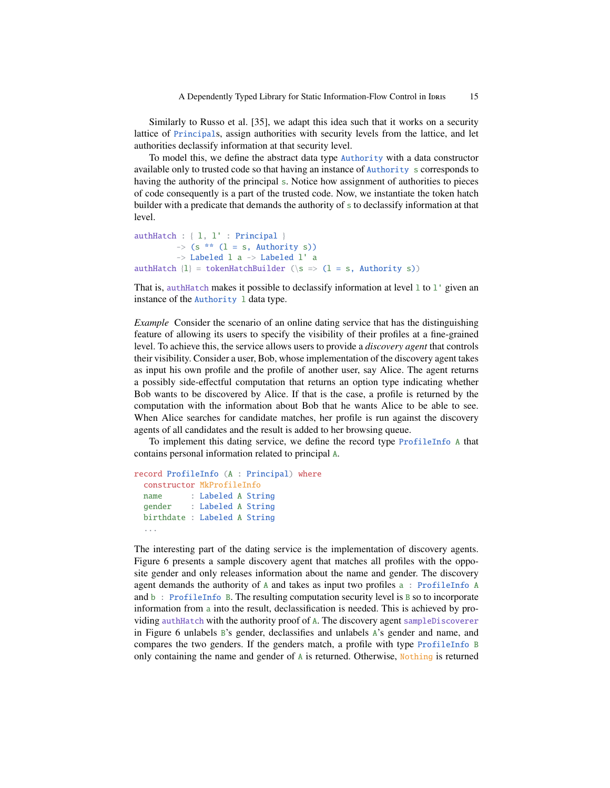Similarly to Russo et al. [35], we adapt this idea such that it works on a security lattice of Principals, assign authorities with security levels from the lattice, and let authorities declassify information at that security level.

To model this, we define the abstract data type Authority with a data constructor available only to trusted code so that having an instance of Authority s corresponds to having the authority of the principal s. Notice how assignment of authorities to pieces of code consequently is a part of the trusted code. Now, we instantiate the token hatch builder with a predicate that demands the authority of s to declassify information at that level.

```
authHatch : { l, l' : Principal }
          \Rightarrow (s ** (l = s, Authority s))
          -> Labeled l a -> Labeled l' a
authHatch \{1\} = tokenHatchBuilder (\s => (1 = s, Authority s))
```
That is, authHatch makes it possible to declassify information at level  $1$  to  $1'$  given an instance of the Authority l data type.

*Example* Consider the scenario of an online dating service that has the distinguishing feature of allowing its users to specify the visibility of their profiles at a fine-grained level. To achieve this, the service allows users to provide a *discovery agent* that controls their visibility. Consider a user, Bob, whose implementation of the discovery agent takes as input his own profile and the profile of another user, say Alice. The agent returns a possibly side-effectful computation that returns an option type indicating whether Bob wants to be discovered by Alice. If that is the case, a profile is returned by the computation with the information about Bob that he wants Alice to be able to see. When Alice searches for candidate matches, her profile is run against the discovery agents of all candidates and the result is added to her browsing queue.

To implement this dating service, we define the record type ProfileInfo A that contains personal information related to principal A.

```
record ProfileInfo (A : Principal) where
 constructor MkProfileInfo
 name : Labeled A String
 gender : Labeled A String
 birthdate : Labeled A String
  ...
```
The interesting part of the dating service is the implementation of discovery agents. Figure 6 presents a sample discovery agent that matches all profiles with the opposite gender and only releases information about the name and gender. The discovery agent demands the authority of A and takes as input two profiles a : ProfileInfo A and b : ProfileInfo B. The resulting computation security level is B so to incorporate information from a into the result, declassification is needed. This is achieved by providing authHatch with the authority proof of A. The discovery agent sampleDiscoverer in Figure 6 unlabels B's gender, declassifies and unlabels A's gender and name, and compares the two genders. If the genders match, a profile with type ProfileInfo B only containing the name and gender of A is returned. Otherwise, Nothing is returned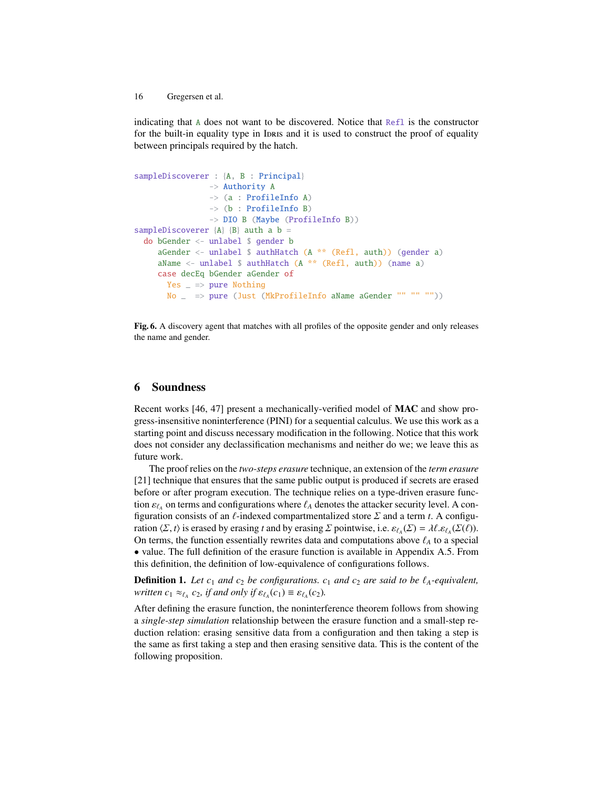indicating that A does not want to be discovered. Notice that Refl is the constructor for the built-in equality type in Idris and it is used to construct the proof of equality between principals required by the hatch.

```
sampleDiscoverer : {A, B : Principal}
                -> Authority A
                -> (a : ProfileInfo A)
                -> (b : ProfileInfo B)
                -> DIO B (Maybe (ProfileInfo B))
sampleDiscoverer {A} {B} auth a b =
 do bGender <- unlabel $ gender b
     aGender <- unlabel $ authHatch (A ** (Refl, auth)) (gender a)
     aName <- unlabel $ authHatch (A ** (Refl, auth)) (name a)
    case decEq bGender aGender of
       Yes = \Rightarrow pure Nothing
      No _ => pure (Just (MkProfileInfo aName aGender "" "" ""))
```
Fig. 6. A discovery agent that matches with all profiles of the opposite gender and only releases the name and gender.

## 6 Soundness

Recent works [46, 47] present a mechanically-verified model of MAC and show progress-insensitive noninterference (PINI) for a sequential calculus. We use this work as a starting point and discuss necessary modification in the following. Notice that this work does not consider any declassification mechanisms and neither do we; we leave this as future work.

The proof relies on the *two-steps erasure* technique, an extension of the *term erasure* [21] technique that ensures that the same public output is produced if secrets are erased before or after program execution. The technique relies on a type-driven erasure function  $\varepsilon_{\ell_A}$  on terms and configurations where  $\ell_A$  denotes the attacker security level. A con-<br>figuration consists of an *f*-indexed compartmentalized store  $\Sigma$  and a term *t*. A configuration figuration consists of an  $\ell$ -indexed compartmentalized store  $\Sigma$  and a term  $t$ . A configuration  $\langle \Sigma, t \rangle$  is erased by erasing *t* and by erasing  $\Sigma$  pointwise, i.e.  $\varepsilon_{A}(\Sigma) = \lambda t$ . $\varepsilon_{A}(\Sigma(\ell))$ .<br>On terms, the function essentially rewrites data and computations above  $\ell_{\ell}$  to a special On terms, the function essentially rewrites data and computations above  $\ell_A$  to a special • value. The full definition of the erasure function is available in Appendix A.5. From this definition, the definition of low-equivalence of configurations follows.

**Definition 1.** Let  $c_1$  and  $c_2$  be configurations.  $c_1$  and  $c_2$  are said to be  $\ell_A$ -equivalent, *written*  $c_1 \approx_{\ell_A} c_2$ , *if and only if*  $\varepsilon_{\ell_A}(c_1) \equiv \varepsilon_{\ell_A}(c_2)$ *.* 

After defining the erasure function, the noninterference theorem follows from showing a *single-step simulation* relationship between the erasure function and a small-step reduction relation: erasing sensitive data from a configuration and then taking a step is the same as first taking a step and then erasing sensitive data. This is the content of the following proposition.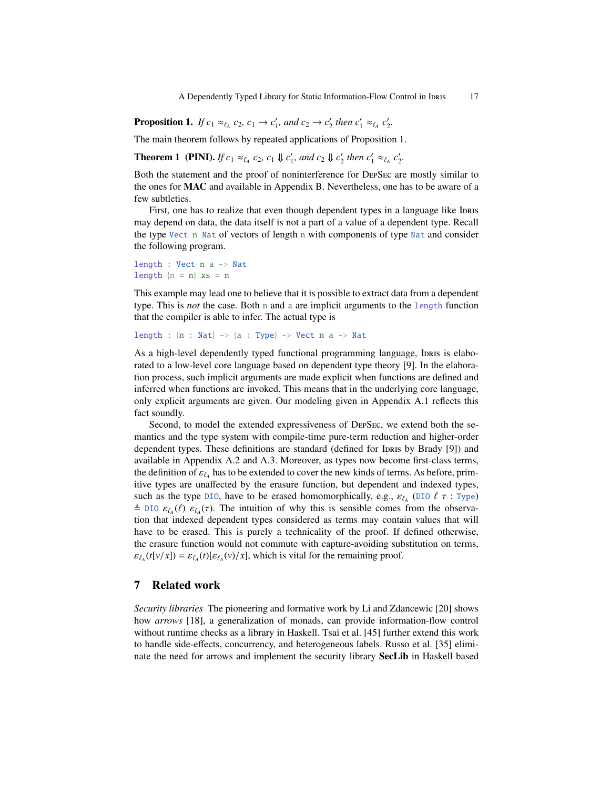**Proposition 1.** *If*  $c_1 \approx_{\ell_A} c_2$ ,  $c_1 \rightarrow c'_1$ , and  $c_2 \rightarrow c'_2$  then  $c'_1 \approx_{\ell_A} c'_2$ .

The main theorem follows by repeated applications of Proposition 1.

**Theorem 1** (PINI). *If*  $c_1 \approx_{\ell_A} c_2$ ,  $c_1 \Downarrow c'_1$ , and  $c_2 \Downarrow c'_2$  then  $c'_1 \approx_{\ell_A} c'_2$ .

Both the statement and the proof of noninterference for DepSec are mostly similar to the ones for MAC and available in Appendix B. Nevertheless, one has to be aware of a few subtleties.

First, one has to realize that even though dependent types in a language like IDRIS may depend on data, the data itself is not a part of a value of a dependent type. Recall the type Vect n Nat of vectors of length n with components of type Nat and consider the following program.

```
length : Vect n a \rightarrow Natlength {n = n} xs = n
```
This example may lead one to believe that it is possible to extract data from a dependent type. This is *not* the case. Both n and a are implicit arguments to the length function that the compiler is able to infer. The actual type is

length :  $\{n : Nat\} \rightarrow \{a : Type\} \rightarrow Vect \; n \; a \rightarrow Nat$ 

As a high-level dependently typed functional programming language, Ibrus is elaborated to a low-level core language based on dependent type theory [9]. In the elaboration process, such implicit arguments are made explicit when functions are defined and inferred when functions are invoked. This means that in the underlying core language, only explicit arguments are given. Our modeling given in Appendix A.1 reflects this fact soundly.

Second, to model the extended expressiveness of DepSec, we extend both the semantics and the type system with compile-time pure-term reduction and higher-order dependent types. These definitions are standard (defined for Ibris by Brady [9]) and available in Appendix A.2 and A.3. Moreover, as types now become first-class terms, the definition of  $\varepsilon_{\ell_A}$  has to be extended to cover the new kinds of terms. As before, prim-<br>itive types are unaffected by the erasure function, but dependent and indexed types itive types are unaffected by the erasure function, but dependent and indexed types, such as the type DIO, have to be erased homomorphically, e.g.,  $\varepsilon_{\ell_A}$  (DIO  $\ell \tau$ : Type)<br>  $\stackrel{\triangle}{\leftarrow}$  DIO  $\varepsilon_{\ell}$  ( $\ell$ )  $\varepsilon_{\ell}$  ( $\tau$ ). The intuition of why this is sensible comes from the observa- $\triangleq$  DIO  $\varepsilon_{A}(\ell)$   $\varepsilon_{A}(\tau)$ . The intuition of why this is sensible comes from the observa-<br>tion that indexed dependent types considered as terms may contain values that will tion that indexed dependent types considered as terms may contain values that will have to be erased. This is purely a technicality of the proof. If defined otherwise, the erasure function would not commute with capture-avoiding substitution on terms,  $\varepsilon_{\ell_A}(t[v/x]) = \varepsilon_{\ell_A}(t)[\varepsilon_{\ell_A}(v)/x]$ , which is vital for the remaining proof.

## 7 Related work

*Security libraries* The pioneering and formative work by Li and Zdancewic [20] shows how *arrows* [18], a generalization of monads, can provide information-flow control without runtime checks as a library in Haskell. Tsai et al. [45] further extend this work to handle side-effects, concurrency, and heterogeneous labels. Russo et al. [35] eliminate the need for arrows and implement the security library SecLib in Haskell based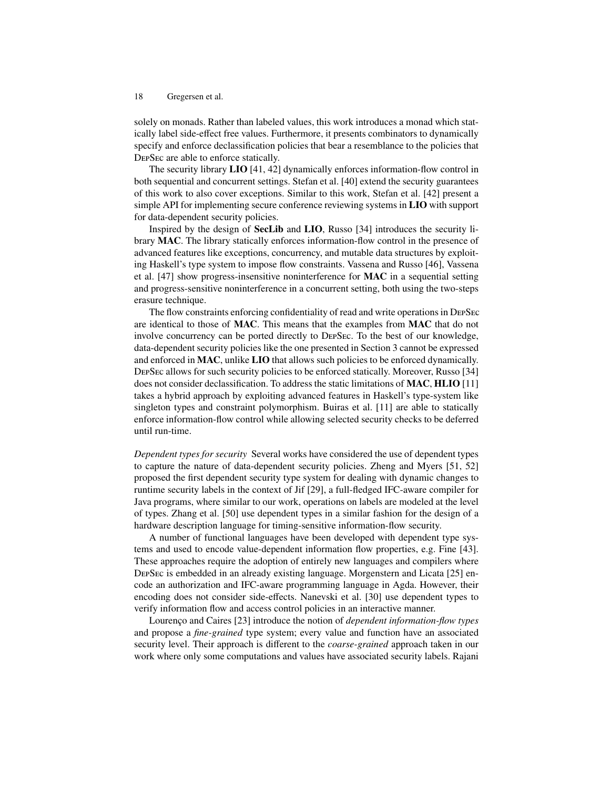solely on monads. Rather than labeled values, this work introduces a monad which statically label side-effect free values. Furthermore, it presents combinators to dynamically specify and enforce declassification policies that bear a resemblance to the policies that DepSec are able to enforce statically.

The security library LIO [41, 42] dynamically enforces information-flow control in both sequential and concurrent settings. Stefan et al. [40] extend the security guarantees of this work to also cover exceptions. Similar to this work, Stefan et al. [42] present a simple API for implementing secure conference reviewing systems in LIO with support for data-dependent security policies.

Inspired by the design of SecLib and LIO, Russo [34] introduces the security library MAC. The library statically enforces information-flow control in the presence of advanced features like exceptions, concurrency, and mutable data structures by exploiting Haskell's type system to impose flow constraints. Vassena and Russo [46], Vassena et al. [47] show progress-insensitive noninterference for MAC in a sequential setting and progress-sensitive noninterference in a concurrent setting, both using the two-steps erasure technique.

The flow constraints enforcing confidentiality of read and write operations in DepSec are identical to those of MAC. This means that the examples from MAC that do not involve concurrency can be ported directly to DepSec. To the best of our knowledge, data-dependent security policies like the one presented in Section 3 cannot be expressed and enforced in MAC, unlike LIO that allows such policies to be enforced dynamically. DepSec allows for such security policies to be enforced statically. Moreover, Russo [34] does not consider declassification. To address the static limitations of MAC, HLIO [11] takes a hybrid approach by exploiting advanced features in Haskell's type-system like singleton types and constraint polymorphism. Buiras et al. [11] are able to statically enforce information-flow control while allowing selected security checks to be deferred until run-time.

*Dependent types for security* Several works have considered the use of dependent types to capture the nature of data-dependent security policies. Zheng and Myers [51, 52] proposed the first dependent security type system for dealing with dynamic changes to runtime security labels in the context of Jif [29], a full-fledged IFC-aware compiler for Java programs, where similar to our work, operations on labels are modeled at the level of types. Zhang et al. [50] use dependent types in a similar fashion for the design of a hardware description language for timing-sensitive information-flow security.

A number of functional languages have been developed with dependent type systems and used to encode value-dependent information flow properties, e.g. Fine [43]. These approaches require the adoption of entirely new languages and compilers where DepSec is embedded in an already existing language. Morgenstern and Licata [25] encode an authorization and IFC-aware programming language in Agda. However, their encoding does not consider side-effects. Nanevski et al. [30] use dependent types to verify information flow and access control policies in an interactive manner.

Lourenco and Caires [23] introduce the notion of *dependent information-flow types* and propose a *fine-grained* type system; every value and function have an associated security level. Their approach is different to the *coarse-grained* approach taken in our work where only some computations and values have associated security labels. Rajani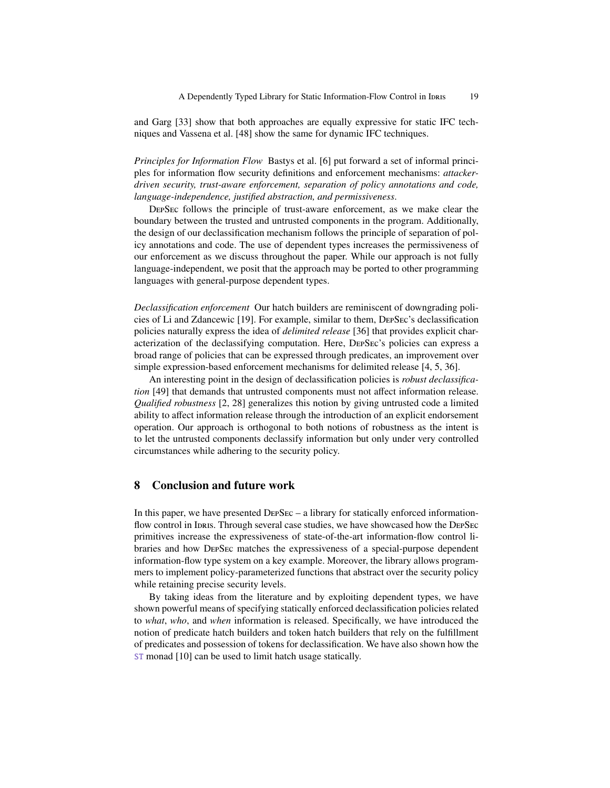and Garg [33] show that both approaches are equally expressive for static IFC techniques and Vassena et al. [48] show the same for dynamic IFC techniques.

*Principles for Information Flow* Bastys et al. [6] put forward a set of informal principles for information flow security definitions and enforcement mechanisms: *attackerdriven security, trust-aware enforcement, separation of policy annotations and code, language-independence, justified abstraction, and permissiveness*.

DepSec follows the principle of trust-aware enforcement, as we make clear the boundary between the trusted and untrusted components in the program. Additionally, the design of our declassification mechanism follows the principle of separation of policy annotations and code. The use of dependent types increases the permissiveness of our enforcement as we discuss throughout the paper. While our approach is not fully language-independent, we posit that the approach may be ported to other programming languages with general-purpose dependent types.

*Declassification enforcement* Our hatch builders are reminiscent of downgrading policies of Li and Zdancewic [19]. For example, similar to them, DepSec's declassification policies naturally express the idea of *delimited release* [36] that provides explicit characterization of the declassifying computation. Here, DepSec's policies can express a broad range of policies that can be expressed through predicates, an improvement over simple expression-based enforcement mechanisms for delimited release [4, 5, 36].

An interesting point in the design of declassification policies is *robust declassification* [49] that demands that untrusted components must not affect information release. *Qualified robustness* [2, 28] generalizes this notion by giving untrusted code a limited ability to affect information release through the introduction of an explicit endorsement operation. Our approach is orthogonal to both notions of robustness as the intent is to let the untrusted components declassify information but only under very controlled circumstances while adhering to the security policy.

# 8 Conclusion and future work

In this paper, we have presented  $\text{Der}$ SEC – a library for statically enforced informationflow control in Ipris. Through several case studies, we have showcased how the DEPSEC primitives increase the expressiveness of state-of-the-art information-flow control libraries and how DepSec matches the expressiveness of a special-purpose dependent information-flow type system on a key example. Moreover, the library allows programmers to implement policy-parameterized functions that abstract over the security policy while retaining precise security levels.

By taking ideas from the literature and by exploiting dependent types, we have shown powerful means of specifying statically enforced declassification policies related to *what*, *who*, and *when* information is released. Specifically, we have introduced the notion of predicate hatch builders and token hatch builders that rely on the fulfillment of predicates and possession of tokens for declassification. We have also shown how the ST monad [10] can be used to limit hatch usage statically.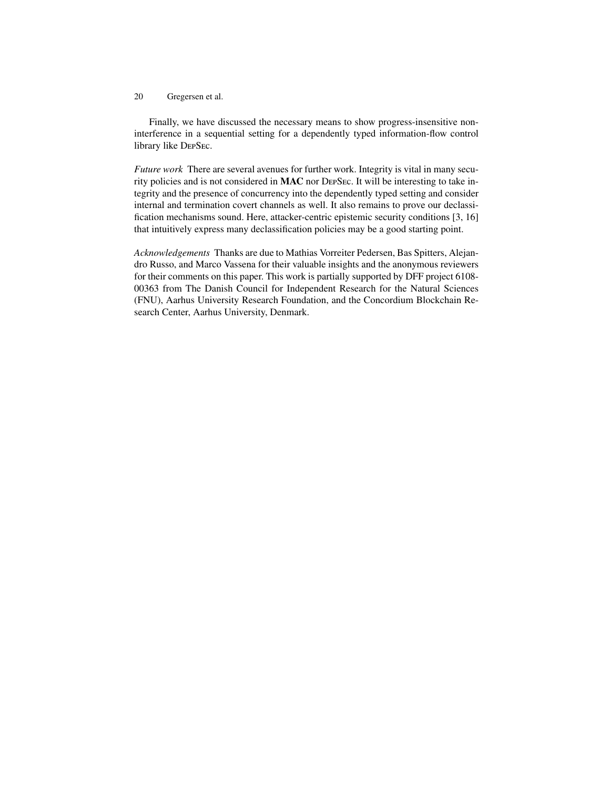Finally, we have discussed the necessary means to show progress-insensitive noninterference in a sequential setting for a dependently typed information-flow control library like DepSec.

*Future work* There are several avenues for further work. Integrity is vital in many security policies and is not considered in MAC nor DepSec. It will be interesting to take integrity and the presence of concurrency into the dependently typed setting and consider internal and termination covert channels as well. It also remains to prove our declassification mechanisms sound. Here, attacker-centric epistemic security conditions [3, 16] that intuitively express many declassification policies may be a good starting point.

*Acknowledgements* Thanks are due to Mathias Vorreiter Pedersen, Bas Spitters, Alejandro Russo, and Marco Vassena for their valuable insights and the anonymous reviewers for their comments on this paper. This work is partially supported by DFF project 6108- 00363 from The Danish Council for Independent Research for the Natural Sciences (FNU), Aarhus University Research Foundation, and the Concordium Blockchain Research Center, Aarhus University, Denmark.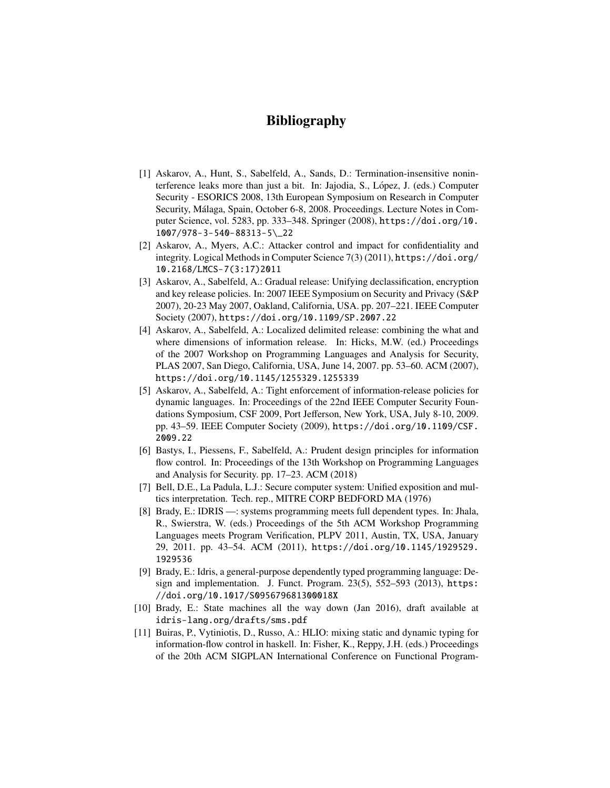# Bibliography

- [1] Askarov, A., Hunt, S., Sabelfeld, A., Sands, D.: Termination-insensitive noninterference leaks more than just a bit. In: Jajodia, S., López, J. (eds.) Computer Security - ESORICS 2008, 13th European Symposium on Research in Computer Security, Malaga, Spain, October 6-8, 2008. Proceedings. Lecture Notes in Com- ´ puter Science, vol. 5283, pp. 333–348. Springer (2008), https://doi.org/10. 1007/978-3-540-88313-5\\_22
- [2] Askarov, A., Myers, A.C.: Attacker control and impact for confidentiality and integrity. Logical Methods in Computer Science 7(3) (2011), https://doi.org/ 10.2168/LMCS-7(3:17)2011
- [3] Askarov, A., Sabelfeld, A.: Gradual release: Unifying declassification, encryption and key release policies. In: 2007 IEEE Symposium on Security and Privacy (S&P 2007), 20-23 May 2007, Oakland, California, USA. pp. 207–221. IEEE Computer Society (2007), https://doi.org/10.1109/SP.2007.22
- [4] Askarov, A., Sabelfeld, A.: Localized delimited release: combining the what and where dimensions of information release. In: Hicks, M.W. (ed.) Proceedings of the 2007 Workshop on Programming Languages and Analysis for Security, PLAS 2007, San Diego, California, USA, June 14, 2007. pp. 53–60. ACM (2007), https://doi.org/10.1145/1255329.1255339
- [5] Askarov, A., Sabelfeld, A.: Tight enforcement of information-release policies for dynamic languages. In: Proceedings of the 22nd IEEE Computer Security Foundations Symposium, CSF 2009, Port Jefferson, New York, USA, July 8-10, 2009. pp. 43–59. IEEE Computer Society (2009), https://doi.org/10.1109/CSF. 2009.22
- [6] Bastys, I., Piessens, F., Sabelfeld, A.: Prudent design principles for information flow control. In: Proceedings of the 13th Workshop on Programming Languages and Analysis for Security. pp. 17–23. ACM (2018)
- [7] Bell, D.E., La Padula, L.J.: Secure computer system: Unified exposition and multics interpretation. Tech. rep., MITRE CORP BEDFORD MA (1976)
- [8] Brady, E.: IDRIS —: systems programming meets full dependent types. In: Jhala, R., Swierstra, W. (eds.) Proceedings of the 5th ACM Workshop Programming Languages meets Program Verification, PLPV 2011, Austin, TX, USA, January 29, 2011. pp. 43–54. ACM (2011), https://doi.org/10.1145/1929529. 1929536
- [9] Brady, E.: Idris, a general-purpose dependently typed programming language: Design and implementation. J. Funct. Program. 23(5), 552–593 (2013), https: //doi.org/10.1017/S095679681300018X
- [10] Brady, E.: State machines all the way down (Jan 2016), draft available at idris-lang.org/drafts/sms.pdf
- [11] Buiras, P., Vytiniotis, D., Russo, A.: HLIO: mixing static and dynamic typing for information-flow control in haskell. In: Fisher, K., Reppy, J.H. (eds.) Proceedings of the 20th ACM SIGPLAN International Conference on Functional Program-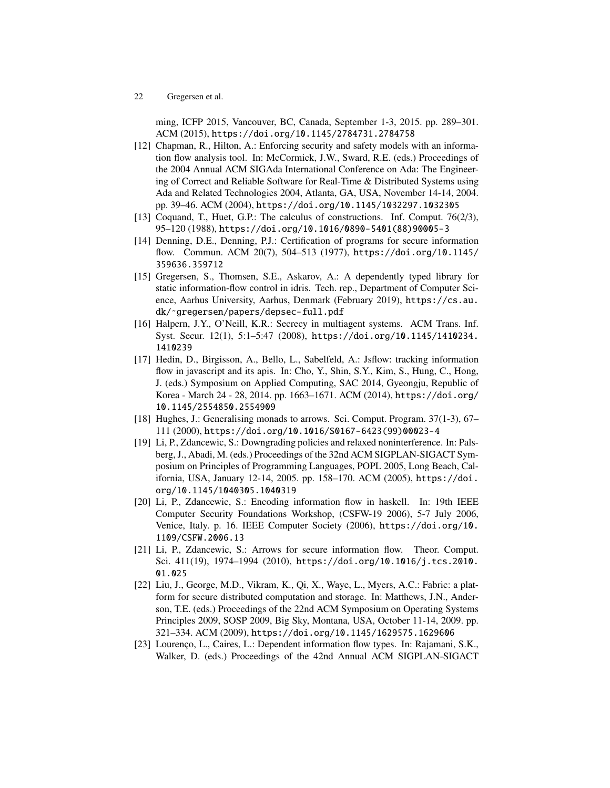ming, ICFP 2015, Vancouver, BC, Canada, September 1-3, 2015. pp. 289–301. ACM (2015), https://doi.org/10.1145/2784731.2784758

- [12] Chapman, R., Hilton, A.: Enforcing security and safety models with an information flow analysis tool. In: McCormick, J.W., Sward, R.E. (eds.) Proceedings of the 2004 Annual ACM SIGAda International Conference on Ada: The Engineering of Correct and Reliable Software for Real-Time & Distributed Systems using Ada and Related Technologies 2004, Atlanta, GA, USA, November 14-14, 2004. pp. 39–46. ACM (2004), https://doi.org/10.1145/1032297.1032305
- [13] Coquand, T., Huet, G.P.: The calculus of constructions. Inf. Comput. 76(2/3), 95–120 (1988), https://doi.org/10.1016/0890-5401(88)90005-3
- [14] Denning, D.E., Denning, P.J.: Certification of programs for secure information flow. Commun. ACM 20(7), 504–513 (1977), https://doi.org/10.1145/ 359636.359712
- [15] Gregersen, S., Thomsen, S.E., Askarov, A.: A dependently typed library for static information-flow control in idris. Tech. rep., Department of Computer Science, Aarhus University, Aarhus, Denmark (February 2019), https://cs.au. dk/˜gregersen/papers/depsec-full.pdf
- [16] Halpern, J.Y., O'Neill, K.R.: Secrecy in multiagent systems. ACM Trans. Inf. Syst. Secur. 12(1), 5:1–5:47 (2008), https://doi.org/10.1145/1410234. 1410239
- [17] Hedin, D., Birgisson, A., Bello, L., Sabelfeld, A.: Jsflow: tracking information flow in javascript and its apis. In: Cho, Y., Shin, S.Y., Kim, S., Hung, C., Hong, J. (eds.) Symposium on Applied Computing, SAC 2014, Gyeongju, Republic of Korea - March 24 - 28, 2014. pp. 1663–1671. ACM (2014), https://doi.org/ 10.1145/2554850.2554909
- [18] Hughes, J.: Generalising monads to arrows. Sci. Comput. Program. 37(1-3), 67– 111 (2000), https://doi.org/10.1016/S0167-6423(99)00023-4
- [19] Li, P., Zdancewic, S.: Downgrading policies and relaxed noninterference. In: Palsberg, J., Abadi, M. (eds.) Proceedings of the 32nd ACM SIGPLAN-SIGACT Symposium on Principles of Programming Languages, POPL 2005, Long Beach, California, USA, January 12-14, 2005. pp. 158–170. ACM (2005), https://doi. org/10.1145/1040305.1040319
- [20] Li, P., Zdancewic, S.: Encoding information flow in haskell. In: 19th IEEE Computer Security Foundations Workshop, (CSFW-19 2006), 5-7 July 2006, Venice, Italy. p. 16. IEEE Computer Society (2006), https://doi.org/10. 1109/CSFW.2006.13
- [21] Li, P., Zdancewic, S.: Arrows for secure information flow. Theor. Comput. Sci. 411(19), 1974–1994 (2010), https://doi.org/10.1016/j.tcs.2010. 01.025
- [22] Liu, J., George, M.D., Vikram, K., Qi, X., Waye, L., Myers, A.C.: Fabric: a platform for secure distributed computation and storage. In: Matthews, J.N., Anderson, T.E. (eds.) Proceedings of the 22nd ACM Symposium on Operating Systems Principles 2009, SOSP 2009, Big Sky, Montana, USA, October 11-14, 2009. pp. 321–334. ACM (2009), https://doi.org/10.1145/1629575.1629606
- [23] Lourenço, L., Caires, L.: Dependent information flow types. In: Rajamani, S.K., Walker, D. (eds.) Proceedings of the 42nd Annual ACM SIGPLAN-SIGACT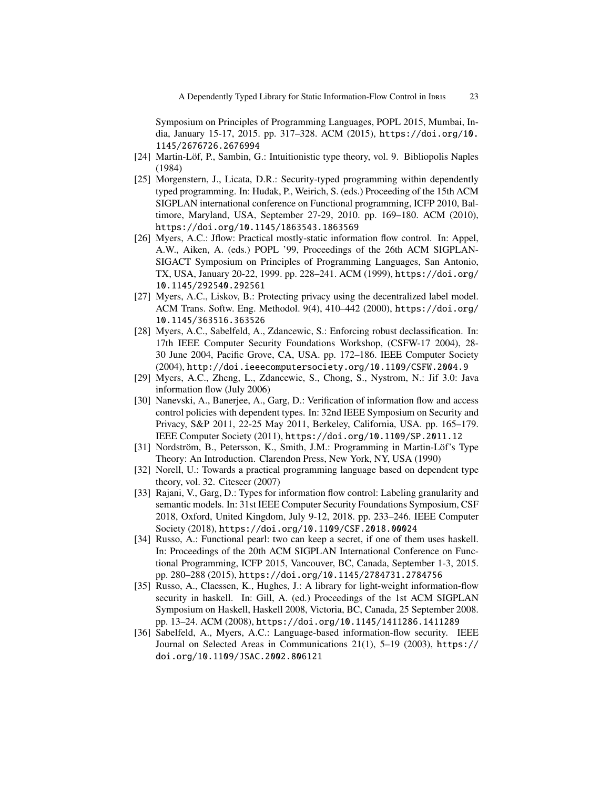Symposium on Principles of Programming Languages, POPL 2015, Mumbai, India, January 15-17, 2015. pp. 317–328. ACM (2015), https://doi.org/10. 1145/2676726.2676994

- [24] Martin-Löf, P., Sambin, G.: Intuitionistic type theory, vol. 9. Bibliopolis Naples (1984)
- [25] Morgenstern, J., Licata, D.R.: Security-typed programming within dependently typed programming. In: Hudak, P., Weirich, S. (eds.) Proceeding of the 15th ACM SIGPLAN international conference on Functional programming, ICFP 2010, Baltimore, Maryland, USA, September 27-29, 2010. pp. 169–180. ACM (2010), https://doi.org/10.1145/1863543.1863569
- [26] Myers, A.C.: Jflow: Practical mostly-static information flow control. In: Appel, A.W., Aiken, A. (eds.) POPL '99, Proceedings of the 26th ACM SIGPLAN-SIGACT Symposium on Principles of Programming Languages, San Antonio, TX, USA, January 20-22, 1999. pp. 228–241. ACM (1999), https://doi.org/ 10.1145/292540.292561
- [27] Myers, A.C., Liskov, B.: Protecting privacy using the decentralized label model. ACM Trans. Softw. Eng. Methodol. 9(4), 410–442 (2000), https://doi.org/ 10.1145/363516.363526
- [28] Myers, A.C., Sabelfeld, A., Zdancewic, S.: Enforcing robust declassification. In: 17th IEEE Computer Security Foundations Workshop, (CSFW-17 2004), 28- 30 June 2004, Pacific Grove, CA, USA. pp. 172–186. IEEE Computer Society (2004), http://doi.ieeecomputersociety.org/10.1109/CSFW.2004.9
- [29] Myers, A.C., Zheng, L., Zdancewic, S., Chong, S., Nystrom, N.: Jif 3.0: Java information flow (July 2006)
- [30] Nanevski, A., Banerjee, A., Garg, D.: Verification of information flow and access control policies with dependent types. In: 32nd IEEE Symposium on Security and Privacy, S&P 2011, 22-25 May 2011, Berkeley, California, USA. pp. 165–179. IEEE Computer Society (2011), https://doi.org/10.1109/SP.2011.12
- [31] Nordström, B., Petersson, K., Smith, J.M.: Programming in Martin-Löf's Type Theory: An Introduction. Clarendon Press, New York, NY, USA (1990)
- [32] Norell, U.: Towards a practical programming language based on dependent type theory, vol. 32. Citeseer (2007)
- [33] Rajani, V., Garg, D.: Types for information flow control: Labeling granularity and semantic models. In: 31st IEEE Computer Security Foundations Symposium, CSF 2018, Oxford, United Kingdom, July 9-12, 2018. pp. 233–246. IEEE Computer Society (2018), https://doi.org/10.1109/CSF.2018.00024
- [34] Russo, A.: Functional pearl: two can keep a secret, if one of them uses haskell. In: Proceedings of the 20th ACM SIGPLAN International Conference on Functional Programming, ICFP 2015, Vancouver, BC, Canada, September 1-3, 2015. pp. 280–288 (2015), https://doi.org/10.1145/2784731.2784756
- [35] Russo, A., Claessen, K., Hughes, J.: A library for light-weight information-flow security in haskell. In: Gill, A. (ed.) Proceedings of the 1st ACM SIGPLAN Symposium on Haskell, Haskell 2008, Victoria, BC, Canada, 25 September 2008. pp. 13–24. ACM (2008), https://doi.org/10.1145/1411286.1411289
- [36] Sabelfeld, A., Myers, A.C.: Language-based information-flow security. IEEE Journal on Selected Areas in Communications 21(1), 5–19 (2003), https:// doi.org/10.1109/JSAC.2002.806121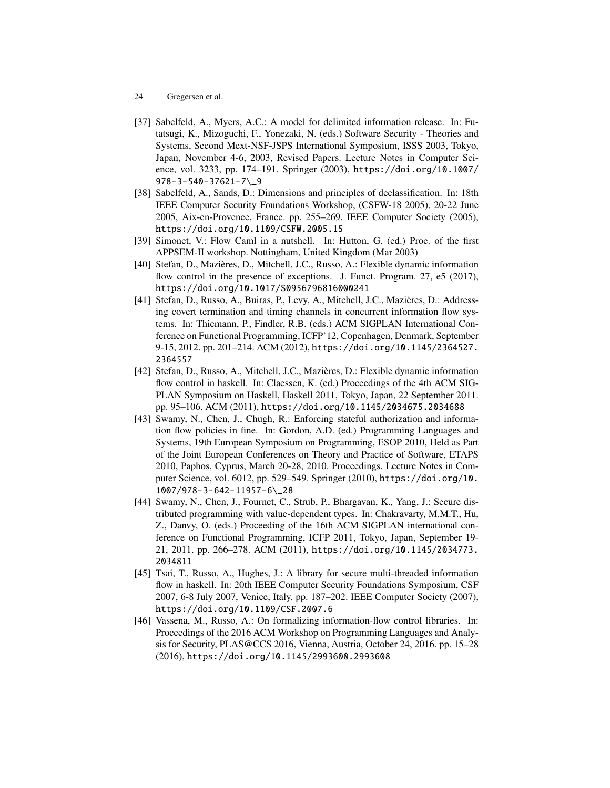- 24 Gregersen et al.
- [37] Sabelfeld, A., Myers, A.C.: A model for delimited information release. In: Futatsugi, K., Mizoguchi, F., Yonezaki, N. (eds.) Software Security - Theories and Systems, Second Mext-NSF-JSPS International Symposium, ISSS 2003, Tokyo, Japan, November 4-6, 2003, Revised Papers. Lecture Notes in Computer Science, vol. 3233, pp. 174–191. Springer (2003), https://doi.org/10.1007/ 978-3-540-37621-7\\_9
- [38] Sabelfeld, A., Sands, D.: Dimensions and principles of declassification. In: 18th IEEE Computer Security Foundations Workshop, (CSFW-18 2005), 20-22 June 2005, Aix-en-Provence, France. pp. 255–269. IEEE Computer Society (2005), https://doi.org/10.1109/CSFW.2005.15
- [39] Simonet, V.: Flow Caml in a nutshell. In: Hutton, G. (ed.) Proc. of the first APPSEM-II workshop. Nottingham, United Kingdom (Mar 2003)
- [40] Stefan, D., Mazieres, D., Mitchell, J.C., Russo, A.: Flexible dynamic information ` flow control in the presence of exceptions. J. Funct. Program. 27, e5 (2017), https://doi.org/10.1017/S0956796816000241
- [41] Stefan, D., Russo, A., Buiras, P., Levy, A., Mitchell, J.C., Mazières, D.: Addressing covert termination and timing channels in concurrent information flow systems. In: Thiemann, P., Findler, R.B. (eds.) ACM SIGPLAN International Conference on Functional Programming, ICFP'12, Copenhagen, Denmark, September 9-15, 2012. pp. 201–214. ACM (2012), https://doi.org/10.1145/2364527. 2364557
- [42] Stefan, D., Russo, A., Mitchell, J.C., Mazieres, D.: Flexible dynamic information ` flow control in haskell. In: Claessen, K. (ed.) Proceedings of the 4th ACM SIG-PLAN Symposium on Haskell, Haskell 2011, Tokyo, Japan, 22 September 2011. pp. 95–106. ACM (2011), https://doi.org/10.1145/2034675.2034688
- [43] Swamy, N., Chen, J., Chugh, R.: Enforcing stateful authorization and information flow policies in fine. In: Gordon, A.D. (ed.) Programming Languages and Systems, 19th European Symposium on Programming, ESOP 2010, Held as Part of the Joint European Conferences on Theory and Practice of Software, ETAPS 2010, Paphos, Cyprus, March 20-28, 2010. Proceedings. Lecture Notes in Computer Science, vol. 6012, pp. 529–549. Springer (2010), https://doi.org/10. 1007/978-3-642-11957-6\\_28
- [44] Swamy, N., Chen, J., Fournet, C., Strub, P., Bhargavan, K., Yang, J.: Secure distributed programming with value-dependent types. In: Chakravarty, M.M.T., Hu, Z., Danvy, O. (eds.) Proceeding of the 16th ACM SIGPLAN international conference on Functional Programming, ICFP 2011, Tokyo, Japan, September 19- 21, 2011. pp. 266–278. ACM (2011), https://doi.org/10.1145/2034773. 2034811
- [45] Tsai, T., Russo, A., Hughes, J.: A library for secure multi-threaded information flow in haskell. In: 20th IEEE Computer Security Foundations Symposium, CSF 2007, 6-8 July 2007, Venice, Italy. pp. 187–202. IEEE Computer Society (2007), https://doi.org/10.1109/CSF.2007.6
- [46] Vassena, M., Russo, A.: On formalizing information-flow control libraries. In: Proceedings of the 2016 ACM Workshop on Programming Languages and Analysis for Security, PLAS@CCS 2016, Vienna, Austria, October 24, 2016. pp. 15–28 (2016), https://doi.org/10.1145/2993600.2993608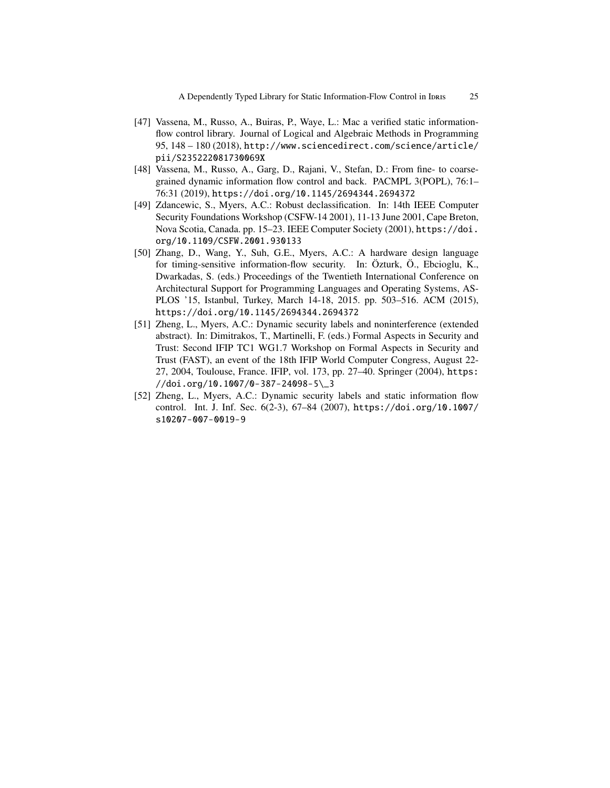- [47] Vassena, M., Russo, A., Buiras, P., Waye, L.: Mac a verified static informationflow control library. Journal of Logical and Algebraic Methods in Programming 95, 148 – 180 (2018), http://www.sciencedirect.com/science/article/ pii/S235222081730069X
- [48] Vassena, M., Russo, A., Garg, D., Rajani, V., Stefan, D.: From fine- to coarsegrained dynamic information flow control and back. PACMPL 3(POPL), 76:1– 76:31 (2019), https://doi.org/10.1145/2694344.2694372
- [49] Zdancewic, S., Myers, A.C.: Robust declassification. In: 14th IEEE Computer Security Foundations Workshop (CSFW-14 2001), 11-13 June 2001, Cape Breton, Nova Scotia, Canada. pp. 15–23. IEEE Computer Society (2001), https://doi. org/10.1109/CSFW.2001.930133
- [50] Zhang, D., Wang, Y., Suh, G.E., Myers, A.C.: A hardware design language for timing-sensitive information-flow security. In: Ozturk, O., Ebcioglu, K., Dwarkadas, S. (eds.) Proceedings of the Twentieth International Conference on Architectural Support for Programming Languages and Operating Systems, AS-PLOS '15, Istanbul, Turkey, March 14-18, 2015. pp. 503–516. ACM (2015), https://doi.org/10.1145/2694344.2694372
- [51] Zheng, L., Myers, A.C.: Dynamic security labels and noninterference (extended abstract). In: Dimitrakos, T., Martinelli, F. (eds.) Formal Aspects in Security and Trust: Second IFIP TC1 WG1.7 Workshop on Formal Aspects in Security and Trust (FAST), an event of the 18th IFIP World Computer Congress, August 22- 27, 2004, Toulouse, France. IFIP, vol. 173, pp. 27–40. Springer (2004), https: //doi.org/10.1007/0-387-24098-5\\_3
- [52] Zheng, L., Myers, A.C.: Dynamic security labels and static information flow control. Int. J. Inf. Sec. 6(2-3), 67–84 (2007), https://doi.org/10.1007/ s10207-007-0019-9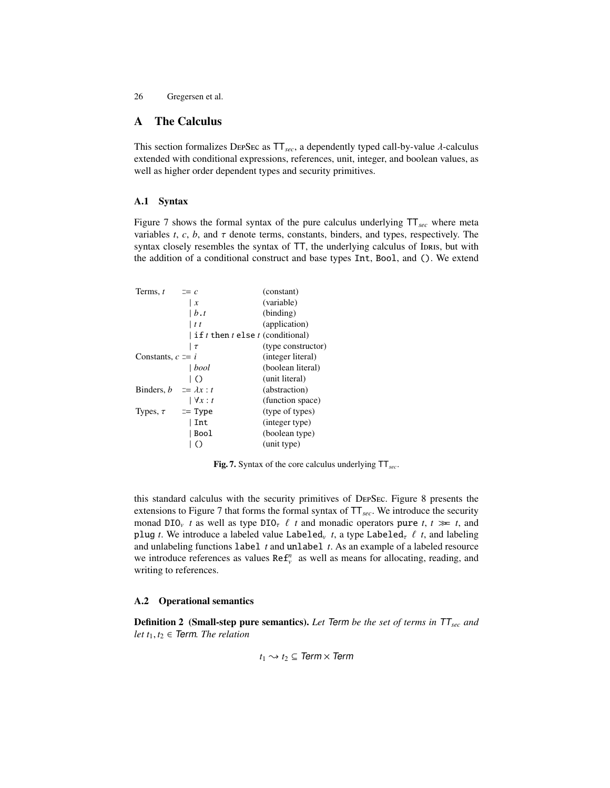# A The Calculus

This section formalizes DepSec as TT*sec*, a dependently typed call-by-value λ-calculus extended with conditional expressions, references, unit, integer, and boolean values, as well as higher order dependent types and security primitives.

## A.1 Syntax

Figure 7 shows the formal syntax of the pure calculus underlying TT*sec* where meta variables  $t$ ,  $c$ ,  $b$ , and  $\tau$  denote terms, constants, binders, and types, respectively. The syntax closely resembles the syntax of TT, the underlying calculus of Ibris, but with the addition of a conditional construct and base types Int, Bool, and (). We extend

| Terms, $t$              | $\mathrel{\mathop:}= c$                  | (constant)         |
|-------------------------|------------------------------------------|--------------------|
|                         | $\mathbf{x}$                             | (variable)         |
|                         | b.t                                      | (binding)          |
|                         | $\vert t \, t$                           | (application)      |
|                         | $\vert$ if t then t else t (conditional) |                    |
|                         | Iτ                                       | (type constructor) |
| Constants, $c \equiv i$ |                                          | (integer literal)  |
|                         | $\mid bool$                              | (boolean literal)  |
|                         | $\left($                                 | (unit literal)     |
| Binders, <i>b</i>       | $\mathrel{\mathop:}=\lambda x : t$       | (abstraction)      |
|                         | $\forall x : t$                          | (function space)   |
| Types, $\tau$           | $\equiv$ Type                            | (type of types)    |
|                         | Int                                      | (integer type)     |
|                         | Bool                                     | (boolean type)     |
|                         | ()                                       | (unit type)        |

Fig. 7. Syntax of the core calculus underlying TT*sec*.

this standard calculus with the security primitives of DepSec. Figure 8 presents the extensions to Figure 7 that forms the formal syntax of TT*sec*. We introduce the security monad  $DIO_v$  *t* as well as type  $DIO_{\tau}$  *t t* and monadic operators pure *t*, *t*  $\gg$  *t*, and plug *t*. We introduce a labeled value Labeled<sub>v</sub> *t*, a type Labeled<sub>*t</sub>*  $\ell$  *t*, and labeling</sub> and unlabeling functions label *t* and unlabel *t*. As an example of a labeled resource we introduce references as values  $\text{Re}f_v^n$  as well as means for allocating, reading, and writing to references.

## A.2 Operational semantics

Definition 2 (Small-step pure semantics). *Let* Term *be the set of terms in* TT*sec and let*  $t_1, t_2 \in \text{Term}$ *. The relation* 

$$
t_1 \leadsto t_2 \subseteq \mathsf{Term} \times \mathsf{Term}
$$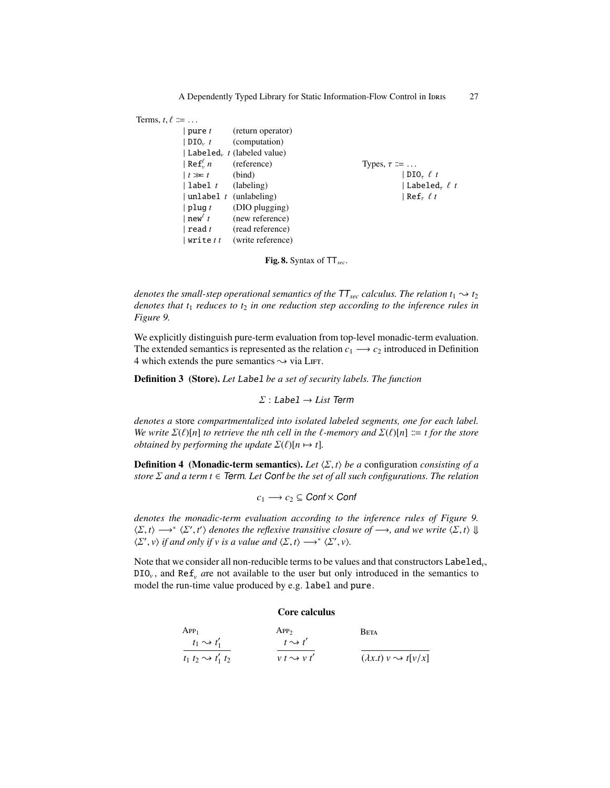```
Terms, t, \ell \coloneqq \ldots<br>| pure t(return operator)
                  | DIO<sub>v</sub> t
                                      t (computation)
                   | Labeledv
t (labeled value)
                  | Re\mathbf{f}^{\ell}_{v} n
                                      (reference)<br>(bind)
                  | t \gg t (bind)<br>| label t (labeling)
                  | label t| unlabel t (unlabeling)
                  | plug t (DIO plugging)
                  | new<sup>\ell</sup> t
                                      t (new reference)
                  | read t (read reference)
                  | write t t (write reference)
                                                                                          Types, \tau \coloneqq \ldots| DIO<sub>\tau</sub> \ell t
                                                                                                          | Labeled<sub>t</sub> \ell t</sub>
                                                                                                          | \operatorname{Ref}_{\tau} \ell t
```
Fig. 8. Syntax of TT*sec*.

*denotes the small-step operational semantics of the*  $TT_{sec}$  *calculus. The relation*  $t_1 \rightarrow t_2$ *denotes that t*<sup>1</sup> *reduces to t*<sup>2</sup> *in one reduction step according to the inference rules in Figure 9.*

We explicitly distinguish pure-term evaluation from top-level monadic-term evaluation. The extended semantics is represented as the relation  $c_1 \rightarrow c_2$  introduced in Definition 4 which extends the pure semantics  $\sim$  via LIFT.

Definition 3 (Store). *Let* Label *be a set of security labels. The function*

Σ : Label <sup>→</sup> *List* Term

*denotes a* store *compartmentalized into isolated labeled segments, one for each label. We write*  $\Sigma(\ell)[n]$  *to retrieve the nth cell in the*  $\ell$ *-memory and*  $\Sigma(\ell)[n] \coloneqq$  *t for the store obtained by performing the update*  $\Sigma(\ell)[n \mapsto t]$ *.* 

**Definition 4** (Monadic-term semantics). Let  $\langle \Sigma, t \rangle$  be a configuration *consisting of a store* Σ *and a term t* <sup>∈</sup> Term*. Let* Conf *be the set of all such configurations. The relation*

 $c_1 \longrightarrow c_2 \subseteq \text{Conf} \times \text{Conf}$ 

*denotes the monadic-term evaluation according to the inference rules of Figure 9.*  $\langle \Sigma, t \rangle \longrightarrow^* \langle \Sigma', t' \rangle$  denotes the reflexive transitive closure of  $\longrightarrow$ *, and we write*  $\langle \Sigma, t \rangle \Downarrow$  $\langle \Sigma', v \rangle$  *if and only if v is a value and*  $\langle \Sigma, t \rangle \longrightarrow^* \langle \Sigma', v \rangle$ .

Note that we consider all non-reducible terms to be values and that constructors Labeled*v*,  $DD_1$ , and  $Ref_v$  *are not available to the user but only introduced in the semantics to* model the run-time value produced by e.g. label and pure.

## Core calculus

$$
\begin{array}{ccc}\n\text{APP}_1 & & \text{APP}_2 \\
\frac{t_1 \rightsquigarrow t_1'}{t_1 \, t_2 \, \rightsquigarrow t_1' \, t_2} & & \frac{t \rightsquigarrow t'}{v \, t \, \rightsquigarrow v \, t'} & & \frac{\text{BETA}}{( \lambda x. t) \, v \, \rightsquigarrow t[v/x]} \\
\end{array}
$$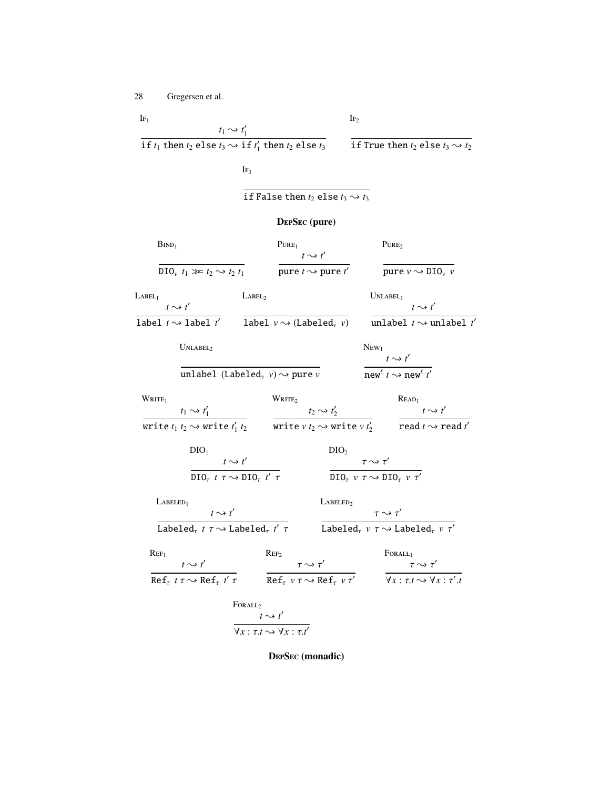$\mathbf{I}\mathbf{F}_1$  $t_1 \rightsquigarrow t'_1$ if  $t_1$  then  $t_2$  else  $t_3 \rightsquigarrow$  if  $t'_1$  then  $t_2$  else  $t_3 \rightsquigarrow t_2$  if True then  $t_2$  else  $t_3 \rightsquigarrow t_2$  $\rm Ir_2$ 

 $I_{F_3}$ 

# if False then  $t_2$  else  $t_3 \rightarrow t_3$

# DepSec (pure)

| $BIND_1$                                    |                                                                           | PURE <sub>1</sub>                                                  | $t \rightarrow t'$                                                                                      | PURE <sub>2</sub>        |                                                                                                                                                                                                                                                                                                                                                                                   |  |
|---------------------------------------------|---------------------------------------------------------------------------|--------------------------------------------------------------------|---------------------------------------------------------------------------------------------------------|--------------------------|-----------------------------------------------------------------------------------------------------------------------------------------------------------------------------------------------------------------------------------------------------------------------------------------------------------------------------------------------------------------------------------|--|
|                                             | DIO <sub>v</sub> $t_1 \gg t_2 \rightsquigarrow t_2 t_1$                   |                                                                    |                                                                                                         |                          | pure $t \rightsquigarrow$ pure $t'$ pure $v \rightsquigarrow DIO_v$ v                                                                                                                                                                                                                                                                                                             |  |
| $L$ ABEL <sub>1</sub><br>$t \rightarrow t'$ | $L$ ABEL <sub>2</sub>                                                     |                                                                    |                                                                                                         | $UNLABEL_1$              | $t \rightarrow t'$                                                                                                                                                                                                                                                                                                                                                                |  |
|                                             | label $t \leadsto$ label $t'$ label $v \leadsto$ (Labeled <sub>v</sub> v) |                                                                    |                                                                                                         |                          | unlabel $t \rightsquigarrow$ unlabel $t'$                                                                                                                                                                                                                                                                                                                                         |  |
|                                             | UNLABEL <sub>2</sub>                                                      |                                                                    |                                                                                                         | New <sub>1</sub>         | $t \rightsquigarrow t'$                                                                                                                                                                                                                                                                                                                                                           |  |
|                                             | unlabel (Labeled <sub>v</sub> $v$ ) $\rightsquigarrow$ pure v             |                                                                    |                                                                                                         |                          | $\frac{1}{\text{new}^{\ell} t \rightarrow \text{new}^{\ell} t'}$                                                                                                                                                                                                                                                                                                                  |  |
| $W$ rite <sub>1</sub>                       |                                                                           | $W$ rite <sub>2</sub>                                              |                                                                                                         |                          | READ <sub>1</sub><br>while $t_1 \rightsquigarrow t'_1$<br>write $t_1 t_2 \rightsquigarrow$ write $t'_1 t_2$<br>write $v t_2 \rightsquigarrow$ write $v t'_2$<br>write $v t'_2$<br>$\frac{t \rightsquigarrow t'_1}{\text{read } t \rightsquigarrow \text{read } t'}$                                                                                                               |  |
|                                             |                                                                           |                                                                    |                                                                                                         |                          |                                                                                                                                                                                                                                                                                                                                                                                   |  |
|                                             | DIO <sub>1</sub><br>$t \sim t'$                                           |                                                                    | DIO <sub>2</sub>                                                                                        |                          |                                                                                                                                                                                                                                                                                                                                                                                   |  |
|                                             | $DD_7$ $t \tau \rightarrow DIO_7$ $t' \tau$                               |                                                                    | $\frac{\tau \rightsquigarrow \tau'}{DIO_{\tau} \ \nu \ \tau \rightsquigarrow DIO_{\tau} \ \nu \ \tau'}$ |                          |                                                                                                                                                                                                                                                                                                                                                                                   |  |
| $L$ ABELED <sub>1</sub>                     | $t \rightarrow t'$                                                        |                                                                    | $L$ ABELED <sub>2</sub>                                                                                 | $\tau \rightarrow \tau'$ |                                                                                                                                                                                                                                                                                                                                                                                   |  |
|                                             |                                                                           |                                                                    |                                                                                                         |                          | Labeled <sub>r</sub> $t \tau \rightarrow$ Labeled <sub>r</sub> $t' \tau$ Labeled <sub>r</sub> $v \tau \rightarrow$ Labeled <sub>r</sub> $v \tau'$                                                                                                                                                                                                                                 |  |
| REF <sub>1</sub>                            |                                                                           |                                                                    |                                                                                                         |                          | REF <sub>1</sub> $t \rightsquigarrow t'$<br>Ref <sub>7</sub> $t \tau \rightsquigarrow \text{Ref}_t t \tau \rightsquigarrow \text{Ref}_t t' \tau$<br>Ref <sub>7</sub> $t \tau \rightsquigarrow \text{Ref}_t v \tau \rightsquigarrow \text{Ref}_t v \tau'$<br>Ref <sub>7</sub> $v \tau \rightsquigarrow \text{Ref}_t v \tau'$<br>Vx : $\tau.t \rightsquigarrow \forall x : \tau'.t$ |  |
|                                             |                                                                           |                                                                    |                                                                                                         |                          |                                                                                                                                                                                                                                                                                                                                                                                   |  |
|                                             | FORALL <sub>2</sub>                                                       | $t \sim t'$<br>$\overline{y_x : \tau.t \rightarrow y_x : \tau.t'}$ |                                                                                                         |                          |                                                                                                                                                                                                                                                                                                                                                                                   |  |

DEPSEC (monadic)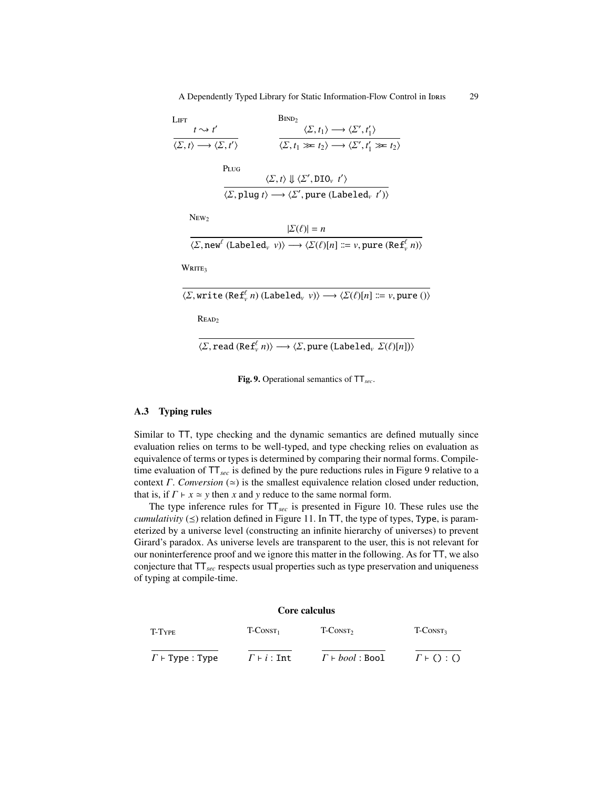| Lift                                                                                                                     | BIND <sub>2</sub>                                                                           |  |  |  |
|--------------------------------------------------------------------------------------------------------------------------|---------------------------------------------------------------------------------------------|--|--|--|
| $t \rightarrow t'$                                                                                                       | $\langle \Sigma, t_1 \rangle \longrightarrow \langle \Sigma', t'_1 \rangle$                 |  |  |  |
| $\langle \Sigma, t \rangle \longrightarrow \langle \Sigma, t' \rangle$                                                   | $\langle \Sigma, t_1 \gg t_2 \rangle \longrightarrow \langle \Sigma', t'_1 \gg t_2 \rangle$ |  |  |  |
| Plug                                                                                                                     | $\langle \Sigma, t \rangle \Downarrow \langle \Sigma', \text{DIO}, t' \rangle$              |  |  |  |
| $\langle \Sigma, \text{plug } t \rangle \longrightarrow \langle \Sigma', \text{pure } (\text{Labeled}_{v} \ t') \rangle$ |                                                                                             |  |  |  |

 $New<sub>2</sub>$ 

 $|\Sigma(\ell)| = n$  $\langle \Sigma, \text{new}^{\ell} \text{ (Labeled}_v \text{ } v) \rangle \longrightarrow \langle \Sigma(\ell)[n] ::= v, \text{pure } (\text{Ref}^{\ell}_v \text{ } n) \rangle$ 

WRITE3

 $\langle \Sigma, \text{write } (\text{Ref}^{\ell}_v n) \text{ (Labeled}_v v) \rangle \longrightarrow \langle \Sigma(\ell)[n] ::= v, \text{pure } () \rangle$ 

READ<sub>2</sub>

 $\langle \Sigma, \texttt{read} \, (\texttt{Ref}^{\ell}_v \, n) \rangle \longrightarrow \langle \Sigma, \texttt{pure} \, (\texttt{Labeled}_v \, \Sigma(\ell)[n]) \rangle$ 

Fig. 9. Operational semantics of TT*sec*.

## A.3 Typing rules

Similar to TT, type checking and the dynamic semantics are defined mutually since evaluation relies on terms to be well-typed, and type checking relies on evaluation as equivalence of terms or types is determined by comparing their normal forms. Compiletime evaluation of TT*sec* is defined by the pure reductions rules in Figure 9 relative to a context *Γ. Conversion* ( $\simeq$ ) is the smallest equivalence relation closed under reduction, that is, if  $\Gamma \vdash x \simeq y$  then *x* and *y* reduce to the same normal form.

The type inference rules for TT*sec* is presented in Figure 10. These rules use the *cumulativity*  $(\le)$  relation defined in Figure 11. In TT, the type of types, Type, is parameterized by a universe level (constructing an infinite hierarchy of universes) to prevent Girard's paradox. As universe levels are transparent to the user, this is not relevant for our noninterference proof and we ignore this matter in the following. As for TT, we also conjecture that TT*sec* respects usual properties such as type preservation and uniqueness of typing at compile-time.

#### Core calculus

| <b>T-TYPE</b>               | $T-Const1$                     | $T$ -Const <sub>2</sub>            | T-CONST3                        |
|-----------------------------|--------------------------------|------------------------------------|---------------------------------|
| $\Gamma \vdash$ Type : Type | $\Gamma \vdash i : \text{Int}$ | $\Gamma \vdash bool : \text{Bool}$ | $\Gamma \vdash \Theta : \Theta$ |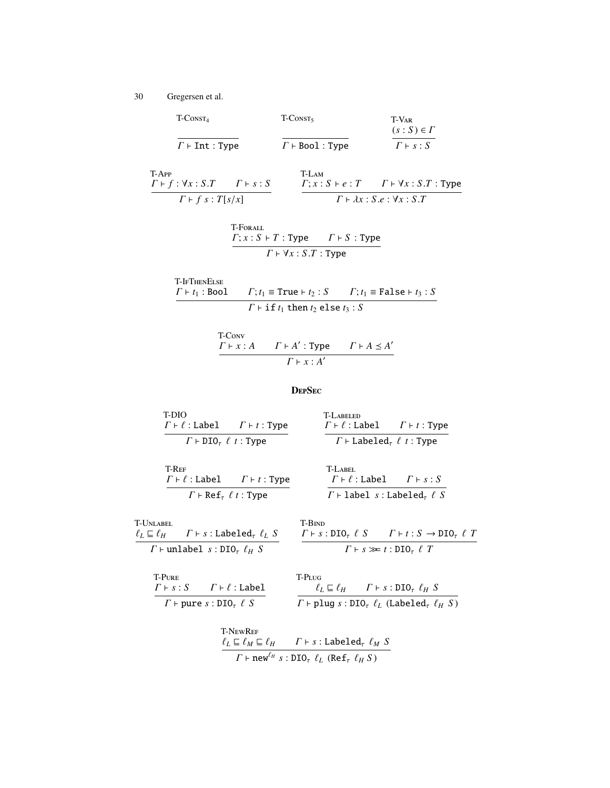| $T$ -Const <sub>4</sub>    | $T$ -CONST $5$             | T-V <sub>AR</sub><br>$(s: S) \in \Gamma$ |
|----------------------------|----------------------------|------------------------------------------|
| $\Gamma \vdash$ Int : Type | $\Gamma \vdash$ Bool: Type | $\Gamma \vdash s : S$                    |

$$
\frac{T-APP}{\Gamma+f: \forall x: S.T \qquad \Gamma+s: S}
$$
\n
$$
\frac{T+LAM}{\Gamma+f: S:T[s/x]}
$$
\n
$$
\frac{F; x: S+e: T \qquad \Gamma+ \forall x: S.T: Type}{\Gamma+ \lambda x: S.e: \forall x: S.T}
$$

T-FORALL  

$$
\frac{\Gamma; x : S \vdash T : Type \qquad \Gamma \vdash S : Type}{\Gamma \vdash \forall x : S.T : Type}
$$

| T-IFTHENELSE                      |                                                                                              |  |
|-----------------------------------|----------------------------------------------------------------------------------------------|--|
| $\Gamma \vdash t_1 : \text{Bool}$ | $\Gamma$ ; $t_1 \equiv$ True $\vdash t_2 : S$ $\Gamma$ ; $t_1 \equiv$ False $\vdash t_3 : S$ |  |
|                                   | $\Gamma$ + if $t_1$ then $t_2$ else $t_3$ : S                                                |  |

| T-CONV | $\Gamma \vdash x:A \qquad \Gamma \vdash A':\text{Type} \qquad \Gamma \vdash A \leq A'$ |  |
|--------|----------------------------------------------------------------------------------------|--|
|        | $\Gamma \vdash x : A'$                                                                 |  |

DepSec

| T-DIO<br>$\Gamma \vdash \ell$ : Label    | $\Gamma \vdash t : \text{Type}$ |
|------------------------------------------|---------------------------------|
| $\Gamma \vdash DIO_{\tau} \ell t$ : Type |                                 |

| T-LARELED<br>$\Gamma \vdash \ell$ : Label | $\Gamma \vdash t$ : Type |
|-------------------------------------------|--------------------------|
| $\Gamma \vdash$ Labeled, $\ell$ t: Type   |                          |

| T-Ref<br>$\Gamma \vdash \ell$ : Label           | $I \vdash t : Type$ |
|-------------------------------------------------|---------------------|
| $\Gamma \vdash \text{Ref}_{\tau} \ell t$ : Type |                     |

| T-LABEL<br>$\Gamma \vdash \ell :$ Label    | $\Gamma \vdash s : S$ |  |  |
|--------------------------------------------|-----------------------|--|--|
| $\Gamma \vdash$ label s: Labeled, $\ell$ S |                       |  |  |

| T-UNLABEL<br>$\ell_I \sqsubseteq \ell_H$ $\Gamma \vdash s$ : Labeled, $\ell_I$ S | <b>T-BIND</b><br>$\Gamma \vdash s : DIO_{\tau} \ell S \qquad \Gamma \vdash t : S \rightarrow DIO_{\tau} \ell T$ |  |
|----------------------------------------------------------------------------------|-----------------------------------------------------------------------------------------------------------------|--|
| $\Gamma$ + unlabel s: DIO <sub>7</sub> $\ell$ <sub>H</sub> S                     | $\Gamma \vdash s \gg t : DIO_{\tau} \ell T$                                                                     |  |
| <b>T-PURE</b><br>$\Gamma \vdash s : S$ $\Gamma \vdash \ell : \text{Label}$       | T-PLUG<br>$\ell_L \sqsubseteq \ell_H$ $\Gamma \vdash s : DIO_\tau \ell_H S$                                     |  |
| $\Gamma$ + pure s : DIO <sub><math>\tau</math></sub> $\ell$ S                    | $\Gamma$ + plug s : DIO <sub>7</sub> $\ell_L$ (Labeled <sub>7</sub> $\ell_H$ S)                                 |  |
| <b>T-NEWREF</b>                                                                  | $\ell_L \sqsubseteq \ell_M \sqsubseteq \ell_H$ $\Gamma \vdash s :$ Labeled, $\ell_M S$                          |  |
| $\mathfrak{o}$                                                                   |                                                                                                                 |  |

 $\Gamma \vdash \text{new}^{\ell_H} \ s : \text{DIO}_\tau \ \ell_L \ (\text{Ref}_\tau \ \ell_H \ S)$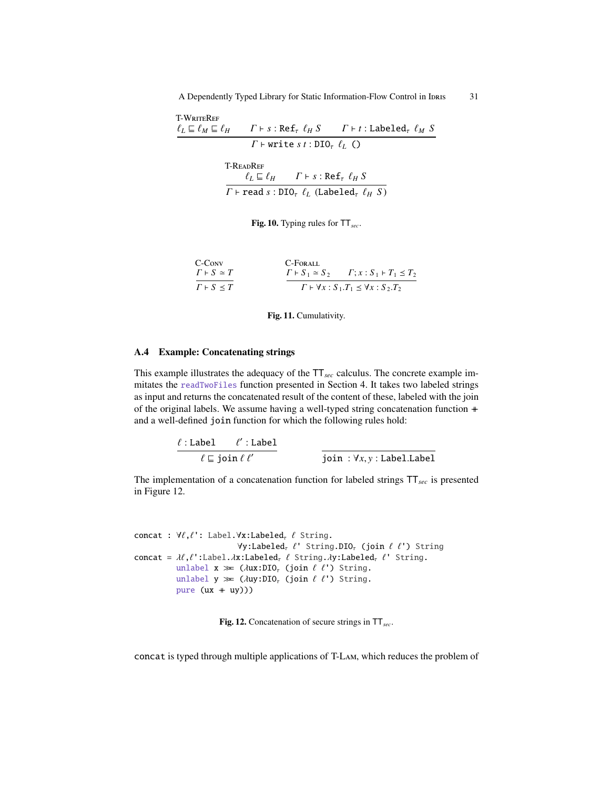| <b>T-WRITEREF</b>                                                               |                                                                            |                                                                                                                                                  |  |  |
|---------------------------------------------------------------------------------|----------------------------------------------------------------------------|--------------------------------------------------------------------------------------------------------------------------------------------------|--|--|
|                                                                                 |                                                                            | $\ell_L \sqsubseteq \ell_M \sqsubseteq \ell_H$ $\Gamma \vdash s : \text{Ref}_{\tau} \ell_H S$ $\Gamma \vdash t : \text{Labeled}_{\tau} \ell_M S$ |  |  |
| $\Gamma$ + write s t : DIO <sub><math>\tau</math></sub> $\ell_L$ ()             |                                                                            |                                                                                                                                                  |  |  |
|                                                                                 | <b>T-READREF</b>                                                           |                                                                                                                                                  |  |  |
|                                                                                 | $\ell_L \sqsubseteq \ell_H$ $\Gamma \vdash s : \text{Ref}_{\tau} \ell_H S$ |                                                                                                                                                  |  |  |
| $\Gamma$ + read s : DIO <sub>7</sub> $\ell_L$ (Labeled <sub>7</sub> $\ell_H$ S) |                                                                            |                                                                                                                                                  |  |  |
|                                                                                 |                                                                            |                                                                                                                                                  |  |  |

Fig. 10. Typing rules for TT*sec*.

| C-Conv<br>$\Gamma \vdash S \simeq T$ | C-FORALL | $\Gamma$ + $S_1 \simeq S_2$ $\Gamma$ ; $x : S_1$ + $T_1 \preceq T_2$ |
|--------------------------------------|----------|----------------------------------------------------------------------|
| $\Gamma \vdash S \preceq T$          |          | $\Gamma \vdash \forall x : S_1.T_1 \leq \forall x : S_2.T_2$         |

Fig. 11. Cumulativity.

## A.4 Example: Concatenating strings

This example illustrates the adequacy of the TT*sec* calculus. The concrete example immitates the readTwoFiles function presented in Section 4. It takes two labeled strings as input and returns the concatenated result of the content of these, labeled with the join of the original labels. We assume having a well-typed string concatenation function  $+$ and a well-defined join function for which the following rules hold:

> $\ell$ : Label  $\ell'$ : Label  $\ell \sqsubseteq \text{join } \ell \ \ell'$ join : <sup>∀</sup>*x*, *<sup>y</sup>* : Label.Label

The implementation of a concatenation function for labeled strings TT*sec* is presented in Figure 12.

```
concat : \forall \ell, \ell': Label.\forall x:Labeled<sub>t</sub> \ell String.</sub>
                                     \forally:Labeled<sub>t</sub> \ell' String.DIO<sub>t</sub> (join \ell \ell') String</sub>
concat = \lambda \ell,\ell':Label.\lambdax:Labeled<sub>r</sub> \ell String.\lambday:Labeled<sub>r</sub> \ell' String.
               unlabel x \gg (\lambda ux:DIO_{\tau} (join \ell \ell') String.
               unlabel y \gg (\lambda uy:DIO_{\tau} (join \ell \ell') String.
               pure (ux + uy))
```
Fig. 12. Concatenation of secure strings in TT*sec*.

concat is typed through multiple applications of T-Lam, which reduces the problem of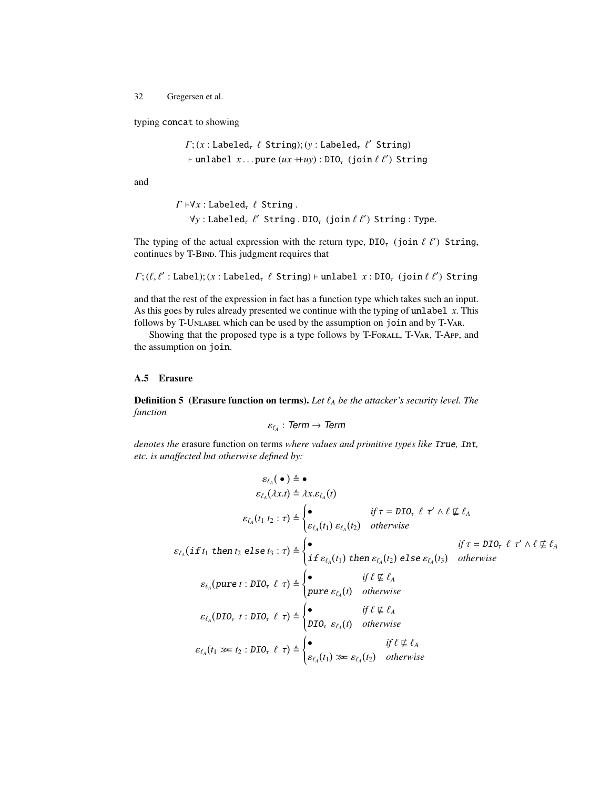typing concat to showing

 $\Gamma$ ; (*x* : Labeled<sub>*t</sub>*  $\ell$  String); (*y* : Labeled<sub>*t*</sub>  $\ell'$  String)</sub>  $\vdash$  unlabel *x* . . . pure  $(ux + uy)$  : DIO<sub>T</sub> (join  $\ell \ell'$ ) String

and

```
\Gamma \vdash \forall x : \texttt{Labeled}_{\tau} \ \ell \ \texttt{String}.\forall y : \text{Labeled}_{\tau} \ \ell' \ \text{String } . \ \text{DIO}_{\tau} \ \text{(join } \ell \ \ell') \ \text{String : Type}.
```
The typing of the actual expression with the return type,  $DIO_{\tau}$  (join  $\ell \ell'$ ) String, continues by T-Bpp. This judgment requires that continues by T-BIND. This judgment requires that

 $\Gamma; (\ell, \ell' : \texttt{Label}); (x : \texttt{Labeled}_{\tau} \ \ell \ \texttt{String}) \vdash \texttt{unlabel} \ x : \texttt{DIO}_{\tau} \ (\texttt{join} \ \ell \ \ell') \ \texttt{String}$ 

and that the rest of the expression in fact has a function type which takes such an input. As this goes by rules already presented we continue with the typing of unlabel *x*. This follows by T-UNLABEL which can be used by the assumption on join and by T-VAR.

Showing that the proposed type is a type follows by T-Forall, T-Var, T-App, and the assumption on join.

## A.5 Erasure

**Definition 5** (Erasure function on terms). Let  $\ell_A$  be the attacker's security level. The *function*

$$
\varepsilon_{\ell_A}:\textit{Term}\to\textit{Term}
$$

*denotes the* erasure function on terms *where values and primitive types like* True*,* Int*, etc. is una*ff*ected but otherwise defined by:*

$$
\varepsilon_{\ell_A}(\bullet) \triangleq \bullet
$$
\n
$$
\varepsilon_{\ell_A}(\lambda x.t) \triangleq \lambda x.\varepsilon_{\ell_A}(t)
$$
\n
$$
\varepsilon_{\ell_A}(t_1 t_2 : \tau) \triangleq \begin{cases}\n\bullet & \text{if } \tau = DIO_{\tau} \ \ell \ \tau' \land \ell \nsubseteq \ell_A \\
\varepsilon_{\ell_A}(t_1 t_2 : \tau) \triangleq \begin{cases}\n\bullet & \text{if } \tau = DIO_{\tau} \ \ell \ \tau' \land \ell \nsubseteq \ell_A\n\end{cases} \\
\varepsilon_{\ell_A}(if t_1 \text{ then } t_2 \text{ else } t_3 : \tau) \triangleq \begin{cases}\n\bullet & \text{if } \tau = DIO_{\tau} \ \ell \ \tau' \land \ell \nsubseteq \ell_A\n\end{cases} \\
\varepsilon_{\ell_A}(pure \ t : DIO_{\tau} \ \ell \ \tau) \triangleq \begin{cases}\n\bullet & \text{if } \ell \nsubseteq \ell_A \\
pure \ \varepsilon_{\ell_A}(t) \ \text{otherwise}\n\end{cases} \\
\varepsilon_{\ell_A}(DIO_{\nu} \ t : DIO_{\tau} \ \ell \ \tau) \triangleq \begin{cases}\n\bullet & \text{if } \ell \nsubseteq \ell_A \\
DIO_{\nu} \ \varepsilon_{\ell_A}(t) \ \text{otherwise}\n\end{cases} \\
\varepsilon_{\ell_A}(t_1 \gg t_2 : DIO_{\tau} \ \ell \ \tau) \triangleq \begin{cases}\n\bullet & \text{if } \ell \nsubseteq \ell_A \\
\varepsilon_{\ell_A}(t_1) \gg \varepsilon_{\ell_A}(t_2) \ \text{otherwise}\n\end{cases}
$$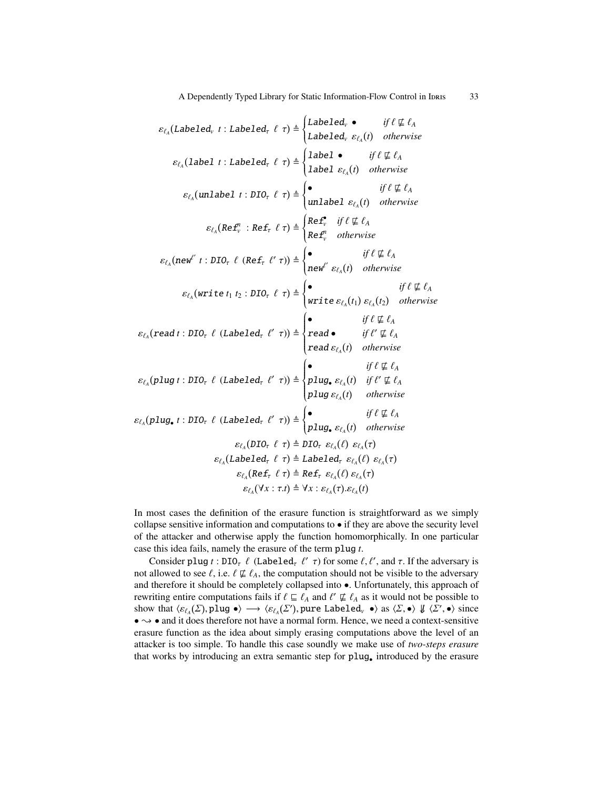$$
\varepsilon_{\ell_A}(\text{Labeled}, t : \text{Labeled}, \ell \tau) \triangleq \begin{cases}\n\text{Labeled}, \bullet & \text{if } \ell \nsubseteq \ell_A \\
\text{Labeled}, \varepsilon_{\ell_A}(t) & \text{otherwise}\n\end{cases}
$$
\n
$$
\varepsilon_{\ell_A}(\text{Table 1 t : } \text{Labeled}, \ell \tau) \triangleq \begin{cases}\n\text{Label} \bullet & \text{if } \ell \nsubseteq \ell_A \\
\text{Label} \varepsilon_{\ell_A}(t) & \text{otherwise}\n\end{cases}
$$
\n
$$
\varepsilon_{\ell_A}(\text{unLabel t : } \text{DIO}, \ell \tau) \triangleq \begin{cases}\n\text{Re } \mathbf{f}, & \text{if } \ell \nsubseteq \ell_A \\
\text{unLabel } \varepsilon_{\ell_A}(t) & \text{otherwise}\n\end{cases}
$$
\n
$$
\varepsilon_{\ell_A}(\text{Re } \mathbf{f}, t) \triangleq \begin{cases}\n\text{Re } \mathbf{f}, & \text{if } \ell \nsubseteq \ell_A \\
\text{Re } \mathbf{f}, & \text{otherwise}\n\end{cases}
$$
\n
$$
\varepsilon_{\ell_A}(\text{new}^{\prime} t : \text{DIO}, \ell \text{ (Ref}, \ell' \tau)) \triangleq \begin{cases}\n\text{Re } \mathbf{f}, & \text{if } \ell \nsubseteq \ell_A \\
\text{new}^{\prime} \varepsilon_{\ell_A}(t) & \text{otherwise}\n\end{cases}
$$
\n
$$
\varepsilon_{\ell_A}(\text{write } t_1 t_2 : \text{DIO}, \ell \tau) \triangleq \begin{cases}\n\text{Re } \mathbf{f}, & \text{if } \ell \nsubseteq \ell_A \\
\text{write } \varepsilon_{\ell_A}(t_1) \varepsilon_{\ell_A}(t_2) & \text{otherwise}\n\end{cases}
$$
\n
$$
\varepsilon_{\ell_A}(\text{read } t : \text{DIO}, \ell \text{ (Labeled}, \ell' \tau)) \triangleq \begin{cases}\n\text{read } \mathbf{f}, & \text{if } \ell \nsubseteq \ell_A \\
\text{read } \varepsilon_{\ell_A}(t) & \text{otherwise}\n\end{cases}
$$
\n
$$
\varepsilon_{\ell_A}(\text{plug } t : \text{DIO}, \ell \text{ (Labeled}, \ell' \tau))
$$

In most cases the definition of the erasure function is straightforward as we simply collapse sensitive information and computations to • if they are above the security level of the attacker and otherwise apply the function homomorphically. In one particular case this idea fails, namely the erasure of the term plug *t*.

Consider plug *t* :  $DIO_{\tau} \ell$  (Labeled<sub> $\tau$ </sub>  $\ell'$   $\tau$ ) for some  $\ell$ ,  $\ell'$ , and  $\tau$ . If the adversary is allowed to see  $\ell$  i.e.  $\ell \not\sqsubset \ell$ , the computation should not be visible to the adversary not allowed to see  $\ell$ , i.e.  $\ell \not\sqsubseteq \ell_A$ , the computation should not be visible to the adversary and therefore it should be completely collapsed into •. Unfortunately, this approach of rewriting entire computations fails if  $\ell \sqsubseteq \ell_A$  and  $\ell' \not\models \ell_A$  as it would not be possible to show that  $\ell \in (\ell)$  plug  $\blacktriangle$   $\rightarrow$   $\ell \in (\ell')$  plug Label ed  $\blacktriangle$  as  $\ell \Sigma \blacktriangle$   $\blacktriangle$   $\ell \in (\ell')$  since show that  $\langle \varepsilon_{\ell_A}(\Sigma), \mathbf{p}_\ell \rangle \longrightarrow \langle \varepsilon_{\ell_A}(\Sigma'), \mathbf{p} \rangle$  Labeled<sub>*v*</sub>  $\bullet \rangle$  as  $\langle \Sigma, \bullet \rangle \Downarrow \langle \Sigma', \bullet \rangle$  since  $\bullet \leadsto \bullet$  and it does therefore not have a normal form. Hence, we need a context-sensitive erasure function as the idea about simply erasing computations above the level of an attacker is too simple. To handle this case soundly we make use of *two-steps erasure* that works by introducing an extra semantic step for plug. introduced by the erasure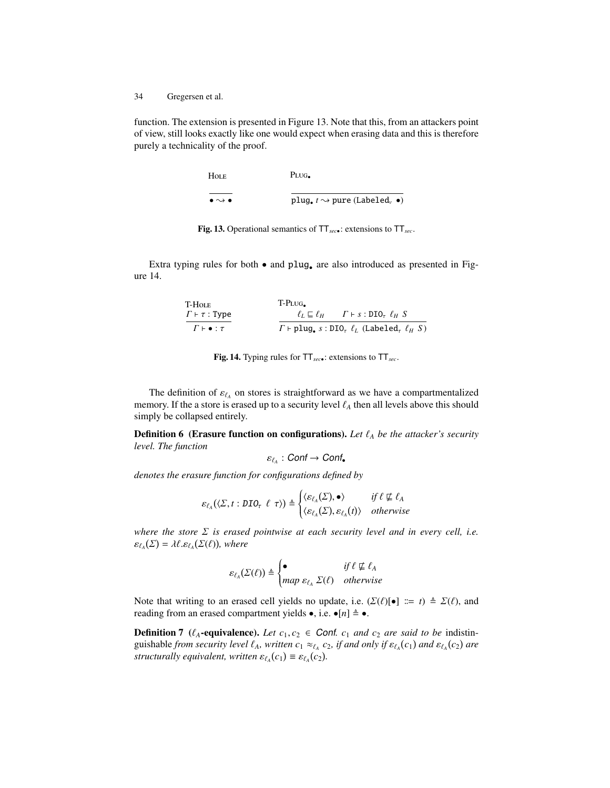function. The extension is presented in Figure 13. Note that this, from an attackers point of view, still looks exactly like one would expect when erasing data and this is therefore purely a technicality of the proof.

| <b>HOLE</b>                            | Plug.                                           |  |
|----------------------------------------|-------------------------------------------------|--|
| $\bullet$ $\rightsquigarrow$ $\bullet$ | plug $t \rightarrow$ pure (Labeled, $\bullet$ ) |  |

Fig. 13. Operational semantics of TT*sec*•: extensions to TT*sec*.

Extra typing rules for both  $\bullet$  and plug, are also introduced as presented in Figure 14.

| T-HOLE                             | T-PLUG.                     |                                                         |
|------------------------------------|-----------------------------|---------------------------------------------------------|
| $\Gamma \vdash \tau : \text{Type}$ | $\ell_L \sqsubseteq \ell_H$ | $\Gamma \vdash s : DIO_{\tau} \ell_H S$                 |
| $\Gamma \vdash \bullet : \tau$     |                             | $\Gamma$ + plug, s: DIO, $\ell_L$ (Labeled, $\ell_H$ S) |

Fig. 14. Typing rules for TT*sec*•: extensions to TT*sec*.

The definition of  $\varepsilon_{\ell_A}$  on stores is straightforward as we have a compartmentalized<br>nory. If the a store is erased up to a security level  $\ell_A$ , then all levels above this should memory. If the a store is erased up to a security level  $\ell_A$  then all levels above this should simply be collapsed entirely.

**Definition 6** (**Erasure function on configurations**). Let  $\ell_A$  be the attacker's security *level. The function*

$$
\varepsilon_{\ell_A}: \mathit{Conf} \to \mathit{Conf}_{\bullet}
$$

*denotes the erasure function for configurations defined by*

$$
\varepsilon_{\ell_A}(\langle \Sigma, t : DIO_{\tau} \ \ell \ \tau \rangle) \triangleq \begin{cases} \langle \varepsilon_{\ell_A}(\Sigma), \bullet \rangle & \text{if } \ell \nsubseteq \ell_A \\ \langle \varepsilon_{\ell_A}(\Sigma), \varepsilon_{\ell_A}(t) \rangle & \text{otherwise} \end{cases}
$$

*where the store*  $\Sigma$  *is erased pointwise at each security level and in every cell, i.e.*  $\varepsilon_{\ell_A}(\Sigma) = \lambda \ell \cdot \varepsilon_{\ell_A}(\Sigma(\ell)),$  where

$$
\varepsilon_{\ell_A}(\Sigma(\ell)) \triangleq \begin{cases} \bullet & \text{if } \ell \nsubseteq \ell_A \\ map \varepsilon_{\ell_A} \Sigma(\ell) & otherwise \end{cases}
$$

Note that writing to an erased cell yields no update, i.e.  $(\Sigma(\ell)[\bullet] := t) \triangleq \Sigma(\ell)$ , and reading from an erased compartment yields  $\bullet$ , i.e.  $\bullet$ [*n*]  $\triangleq \bullet$ .

**Definition 7** ( $\ell_A$ -equivalence). Let  $c_1, c_2 \in$  Conf.  $c_1$  and  $c_2$  are said to be indistinguishable *from security level*  $\ell_A$ *, written c*<sub>1</sub>  $\approx_{\ell_A} c_2$ *, if and only if*  $\varepsilon_{\ell_A}(c_1)$  *and*  $\varepsilon_{\ell_A}(c_2)$  *are*<br>*structurally equivalent written*  $\varepsilon_{\ell_A}(c_1) = \varepsilon_{\ell_A}(c_2)$  $\text{structurally equivalent, written } \varepsilon_{\ell_A}(c_1) \equiv \varepsilon_{\ell_A}(c_2).$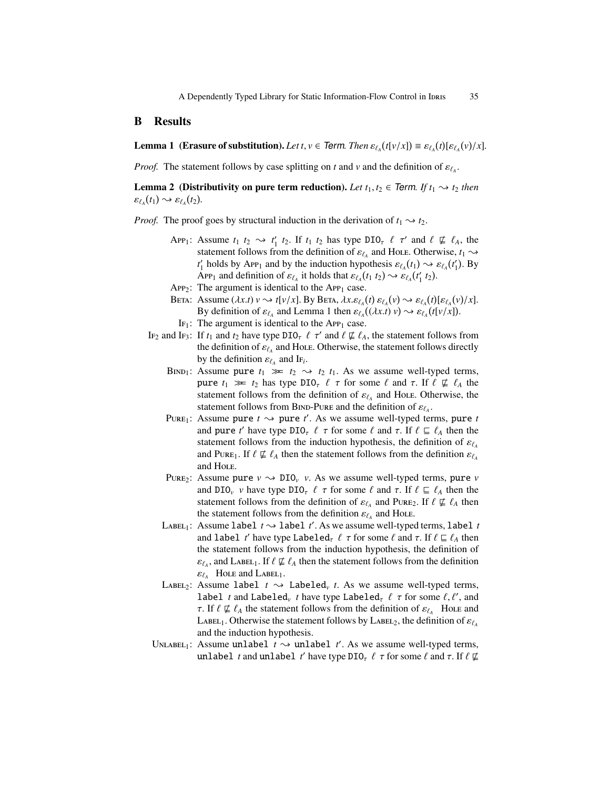## B Results

**Lemma 1** (Erasure of substitution). *Let t*,  $v \in \text{Term. Then } \varepsilon_{\ell_A}(t[v/x]) \equiv \varepsilon_{\ell_A}(t)[\varepsilon_{\ell_A}(v)/x].$ 

*Proof.* The statement follows by case splitting on *t* and *v* and the definition of  $\varepsilon_{\ell_A}$ .

**Lemma 2** (Distributivity on pure term reduction). Let  $t_1, t_2 \in \text{Term}$ . If  $t_1 \rightarrow t_2$  then  $\varepsilon_{\ell_A}(t_1) \rightsquigarrow \varepsilon_{\ell_A}(t_2).$ 

*Proof.* The proof goes by structural induction in the derivation of  $t_1 \rightarrow t_2$ .

- App<sub>1</sub>: Assume  $t_1$   $t_2 \rightarrow t'_1$   $t_2$ . If  $t_1$   $t_2$  has type  $DIO_\tau$   $\ell$   $\tau'$  and  $\ell \not\sqsubseteq \ell_A$ , the statement follows from the definition of see and Hour Otherwise  $t_1 \rightarrow t_2$ statement follows from the definition of  $\varepsilon_{\ell_A}$  and Hole. Otherwise,  $t_1 \sim t'$  holds by App. and by the induction by otherwise,  $\varepsilon_{\ell_t}(t) \propto \varepsilon_{\ell_t}(t')$ . By  $t'_1$  holds by App<sub>1</sub> and by the induction hypothesis  $\varepsilon_{\ell_A}(t_1) \sim \varepsilon_{\ell_A}(t'_1)$ . By App<sub>1</sub> and definition of  $\varepsilon_{\ell_A}$  it holds that  $\varepsilon_{\ell_A}(t_1 t_2) \rightarrow \varepsilon_{\ell_A}(t'_1 t_2)$ .<br>The argument is identical to the App. case
- $APP<sub>2</sub>: The argument is identical to the APP<sub>1</sub> case.$
- Beta: Assume  $(\lambda x.t)$   $v \rightarrow t[v/x]$ . By Beta,  $\lambda x.\varepsilon_{\ell_A}(t) \varepsilon_{\ell_A}(v) \rightarrow \varepsilon_{\ell_A}(t)[\varepsilon_{\ell_A}(v)/x]$ .<br>By definition of  $\varepsilon_{\ell_A}$  and I emma 1 then  $\varepsilon_{\ell_A}((\lambda x,t)v) \ge \varepsilon_{\ell_A}(f[v/x])$ Existence (*Ax..t*)  $\vee$   $\vee$   $\iota_1(\vee)$   $\vee$   $\iota_2(\vee)$   $\iota_3(\vee)$   $\iota_4(\vee)$   $\iota_5(\vee)$   $\iota_6(\vee)$   $\iota_7(\vee)$ <br>By definition of  $\varepsilon_{\ell_A}$  and Lemma 1 then  $\varepsilon_{\ell_A}((\lambda x.t)\vee) \rightarrow \varepsilon_{\ell_A}(t[\vee/x])$ .  $Ir_1$ : The argument is identical to the App<sub>1</sub> case.
- If  $t_1$  and  $t_2$  have type  $D\text{IO}_\tau \ell \tau'$  and  $\ell \not\sqsubseteq \ell_A$ , the statement follows from<br>the definition of  $s_{\ell}$  and Hour Otherwise, the statement follows directly the definition of  $\varepsilon_{\ell_A}$  and Hole. Otherwise, the statement follows directly<br>by the definition  $\varepsilon_{\ell_A}$  and  $I_E$ . by the definition  $\varepsilon_{\ell_A}^n$  and I<sub>F*i*</sub>.<br>Assume pure to  $\infty$  to  $\infty$ 
	- BIND<sub>1</sub>: Assume pure  $t_1 \gg t_2 \sim t_2$  *t*<sub>1</sub>. As we assume well-typed terms, **pure**  $t_1 \gg t_2$  has type DIO<sub>τ</sub>  $\ell \tau$  for some  $\ell$  and  $\tau$ . If  $\ell \nsubseteq \ell_A$  the statement follows from the definition of  $\varepsilon_{\ell_A}$  and Hole. Otherwise, the statement follows from Bpp-Pupe and the definition of  $\varepsilon_{\ell_A}$ statement follows from B<sub>IND</sub>-Pure and the definition of  $\varepsilon_{\ell_A}$ .
	- PURE<sub>1</sub>: Assume pure  $t \rightarrow$  pure  $t'$ . As we assume well-typed terms, pure *t* and pure *t'* have type  $D\text{IO}_\tau \ell \tau$  for some  $\ell$  and  $\tau$ . If  $\ell \subseteq \ell_A$  then the statement follows from the induction bypothesis, the definition of see statement follows from the induction hypothesis, the definition of  $\varepsilon_{\ell_A}$ and Pure<sub>1</sub>. If  $\ell \not\sqsubseteq \ell_A$  then the statement follows from the definition  $\varepsilon_{\ell_A}$ and Hole.
	- PURE<sub>2</sub>: Assume pure  $v \rightarrow DIO_v$  *v*. As we assume well-typed terms, pure *v* and DIO<sub>*v*</sub> *v* have type DIO<sub>*τ</sub>*  $\ell$  *τ* for some  $\ell$  and  $\tau$ . If  $\ell \subseteq \ell_A$  then the</sub> statement follows from the definition of  $\varepsilon_{\ell_A}$  and Pure<sub>2</sub>. If  $\ell \nsubseteq \ell_A$  then<br>the statement follows from the definition  $\varepsilon_{\ell_A}$  and Hour the statement follows from the definition  $\varepsilon_{\ell_A}$  and Hole.<br>Assume label  $t \ge \lambda$  label  $t'$  As we assume well-type
	- LABEL<sub>1</sub>: Assume label  $t \rightarrow$  label  $t'$ . As we assume well-typed terms, label  $t$ and label *t'* have type Labeled<sub>τ</sub>  $\ell \tau$  for some  $\ell$  and  $\tau$ . If  $\ell \sqsubseteq \ell_A$  then<br>the statement follows from the induction hypothesis, the definition of the statement follows from the induction hypothesis, the definition of  $\varepsilon_{\ell_A}$ , and *ENBEE*<sub>1</sub>. If  $\varepsilon_{\neq}$ <br> $\varepsilon_{\ell_A}$  Hole and LABEL<sub>1</sub>.<br>Assume label  $t \sim$  $\varepsilon_{\ell_A}$ , and Label<sub>1</sub>. If  $\ell \not\sqsubseteq \ell_A$  then the statement follows from the definition
	- LABEL<sub>2</sub>: Assume label  $t \sim$  Labeled<sub>*v*</sub> *t*. As we assume well-typed terms, label *t* and Labeled<sub>*v*</sub> *t* have type Labeled<sub>*t*</sub>  $\ell$   $\tau$  for some  $\ell, \ell',$  and  $\tau$  If  $\ell \tau$   $\ell$ , the statement follows from the definition of  $s_{\ell}$ . Hour and  $\tau$ . If  $\ell \nsubseteq \ell_A$  the statement follows from the definition of  $\varepsilon_{\ell_A}$ . Hole and LABEL<sub>1</sub>. Otherwise the statement follows by LABEL<sub>2</sub>, the definition of  $\varepsilon_{\ell_A}$ and the induction hypothesis.
- UNLABEL<sub>1</sub>: Assume unlabel  $t \rightarrow$  unlabel  $t'$ . As we assume well-typed terms, unlabel *t* and unlabel *t'* have type  $DIO_{\tau} \ell \tau$  for some  $\ell$  and  $\tau$ . If  $\ell \not\sqsubseteq$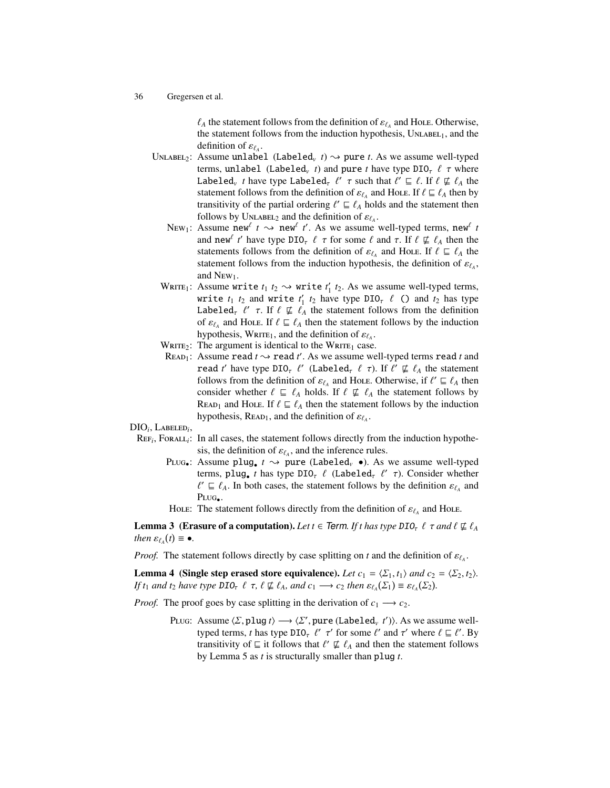$\ell_A$  the statement follows from the definition of  $\varepsilon_{\ell_A}$  and Hole. Otherwise, the statement follows from the induction bypothesis UNIAPEL, and the the statement follows from the induction hypothesis,  $Un\text{LABEL}_1$ , and the definition of  $\varepsilon_{\ell_A}$ .<br>Assume unlabe

- UNLABEL<sub>2</sub>: Assume unlabel (Labeled<sub>*v*</sub>  $t$ )  $\rightsquigarrow$  pure *t*. As we assume well-typed terms, unlabel (Labeled<sub>v</sub> *t*) and pure *t* have type  $DIO<sub>\tau</sub> \ell \tau$  where Labeled<sub>*v*</sub> *t* have type Labeled<sub>*t</sub>*  $\ell'$  *τ* such that  $\ell' \subseteq \ell$ . If  $\ell \nsubseteq \ell_A$  then by statement follows from the definition of  $\varepsilon_A$  and Hour If  $\ell \subset \ell_A$  then by</sub> statement follows from the definition of  $\varepsilon_{\ell_A}$  and Hole. If  $\ell \subseteq \ell_A$  then by transitivity of the partial ordering  $\ell' \subseteq \ell_A$  holds and the statement then transitivity of the partial ordering  $\ell' \subseteq \ell_A$  holds and the statement then follows by UNI ARELA and the definition of  $S_{\ell}$ follows by UNLABEL<sub>2</sub> and the definition of  $\varepsilon_{\ell_A}$ .<br>Assume new<sup>e</sup>  $t \sim$  new<sup>e</sup>  $t'$  As we assume
	- New<sub>1</sub>: Assume new<sup> $\ell$ </sup>  $t \rightarrow \text{new}^{\ell}$   $t'$ . As we assume well-typed terms, new<sup> $\ell$ </sup>  $t$ and new<sup>e</sup> *t*' have type DIO<sub>τ</sub>  $\ell \tau$  for some  $\ell$  and  $\tau$ . If  $\ell \not\sqsubseteq \ell_A$  then the statements follows from the definition of see and Hour If  $\ell \in \ell_A$  the statements follows from the definition of  $\varepsilon_{\ell_A}$  and Hole. If  $\ell \subseteq \ell_A$  the statement follows from the induction hypothesis, the definition of  $\varepsilon_A$ statement follows from the induction hypothesis, the definition of  $\varepsilon_{\ell_A}$ , and N<sub>EW</sub>. and  $New_1$ .
	- WRITE<sub>1</sub>: Assume write  $t_1$   $t_2 \rightarrow$  write  $t'_1$   $t_2$ . As we assume well-typed terms, write  $t_1$   $t_2$  and write  $t'_1$   $t_2$  have type  $DD_7$   $\ell$  () and  $t_2$  has type  $L_2$  has type  $L_3$  and  $t'_2$  and  $\ell'_1$   $\tau$  if  $\ell$   $\tau'$   $\ell_2$  the statement follows from the definition Labeled<sub>τ</sub>  $\ell'$   $\tau$ . If  $\ell \nsubseteq \ell_A$  the statement follows from the definition of  $\epsilon_{\ell}$  and Hour If  $\ell \subset \ell_A$ , then the statement follows by the induction of  $\varepsilon_{\ell_A}$  and Hole. If  $\ell \subseteq \ell_A$  then the statement follows by the induction<br>hypothesis Werry, and the definition of  $\varepsilon_{\ell_A}$ hypothesis, WRITE<sub>1</sub>, and the definition of  $\varepsilon_{\ell_A}$ .<br>The argument is identical to the WRITE<sub>1</sub> case.
	- WRITE<sub>2</sub>: The argument is identical to the WRITE<sub>1</sub> case.
	- READ<sub>1</sub>: Assume read  $t \rightarrow$  read  $t'$ . As we assume well-typed terms read  $t$  and **read** *t'* have type  $DIO_{\tau}$   $\ell'$  (Labeled<sub> $\tau$ </sub>  $\ell$   $\tau$ ). If  $\ell' \nsubseteq \ell_A$  the statement follows from the definition of  $\epsilon_A$  and Hour Otherwise if  $\ell' \nsubseteq \ell_A$  then follows from the definition of  $\varepsilon_{\ell_A}$  and Hole. Otherwise, if  $\ell' \sqsubseteq \ell_A$  then<br>consider whether  $\ell \sqsubseteq \ell_A$  holds. If  $\ell \not\sqsubset \ell_A$  the statement follows by consider whether  $\ell \subseteq \ell_A$  holds. If  $\ell \nsubseteq \ell_A$  the statement follows by READ<sub>1</sub> and HOLE. If  $\ell \sqsubseteq \ell_A$  then the statement follows by the induction hypothesis,  $\text{READ}_1$ , and the definition of  $\varepsilon_{\ell_A}$ .

DIO*<sup>i</sup>* , Labeled*<sup>i</sup>* ,

- REF<sub>i</sub>, FORALL<sub>i</sub>: In all cases, the statement follows directly from the induction hypothesis, the definition of  $\varepsilon_{\ell_A}$ , and the inference rules.<br>Assume plug  $t \to \text{pure}$  (Labeled  $\bullet$ ) As
	- PLUG<sub>•</sub>: Assume plug<sub>•</sub>  $t \rightarrow$  pure (Labeled<sub>*v*</sub> •). As we assume well-typed terms, plug<sub>s</sub> *t* has type  $DIO_T$  *f* (Labeled<sub>*t</sub> f' τ*). Consider whether  $f' \nsubseteq f$ . In both cases the statement follows by the definition see and</sub> .<br>Plug<sub>•</sub>.  $\mathcal{E}_A \subseteq \ell_A$ . In both cases, the statement follows by the definition  $\varepsilon_{\ell_A}$  and
		- Hole: The statement follows directly from the definition of  $\varepsilon_{\ell_A}$  and Hole.

**Lemma 3** (Erasure of a computation). Let  $t \in$  Term. If t has type DIO<sub>τ</sub>  $\ell \tau$  and  $\ell \not\sqsubseteq \ell_A$ *then*  $\varepsilon_{\ell_A}(t) \equiv \bullet$ .

*Proof.* The statement follows directly by case splitting on *t* and the definition of  $\varepsilon_{\ell_A}$ .

**Lemma 4** (Single step erased store equivalence). Let  $c_1 = \langle \Sigma_1, t_1 \rangle$  and  $c_2 = \langle \Sigma_2, t_2 \rangle$ . *If*  $t_1$  *and*  $t_2$  *have type*  $DIO_{\tau}$   $\ell$   $\tau$ ,  $\ell \not\sqsubseteq \ell_A$ , *and*  $c_1 \longrightarrow c_2$  *then*  $\varepsilon_{\ell_A}(\Sigma_1) \equiv \varepsilon_{\ell_A}(\Sigma_2)$ *.* 

*Proof.* The proof goes by case splitting in the derivation of  $c_1 \rightarrow c_2$ .

PLug: Assume  $\langle \Sigma, \text{plug } t \rangle \longrightarrow \langle \Sigma', \text{pure } (\text{Labeled}_v t') \rangle$ . As we assume well-<br>typed terms t has type DTO  $f' \tau'$  for some f' and  $\tau'$  where  $f \subset f'$ . By typed terms, *t* has type  $DD_7 \ell' \tau'$  for some  $\ell'$  and  $\tau'$  where  $\ell \subseteq \ell'$ . By transitivity of  $\sqsubset$  it follows that  $\ell' \tau' \ell$ , and then the statement follows transitivity of  $\subseteq$  it follows that  $\ell' \nsubseteq \ell_A$  and then the statement follows<br>by I emma 5 as *t* is structurally smaller than plug *t* by Lemma 5 as *t* is structurally smaller than plug *t*.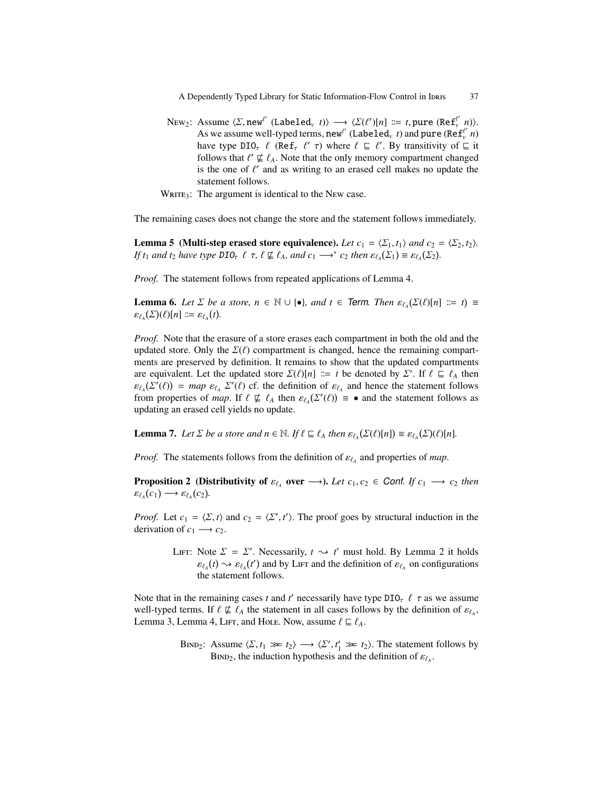- New<sub>2</sub>: Assume  $\langle \Sigma, new^{l'} \text{ (Labeled, } t) \rangle \longrightarrow \langle \Sigma(l')[n] ::= t, pure (Ref^{l'}_v n) \rangle.$ <br>As we assume well-typed terms  $\text{new}^{l'}_v$  (Label ed t) and pure  $(\text{Ref}^{l'}_v n)$ As we assume well-typed terms,  $\text{new}^{e'}$  (Labeled<sub>*v*</sub> *t*) and pure ( $\text{Ref}^{e'}_v$  *n*) have type  $DD_7$   $\ell$  ( $Ref_7$   $\ell'$   $\tau$ ) where  $\ell \subseteq \ell'$ . By transitivity of  $\subseteq$  it follows that  $\ell'$   $\nvdash \ell$ . Note that the only memory compartment changed follows that  $\ell' \nsubseteq \ell_A$ . Note that the only memory compartment changed<br>is the one of  $\ell'$  and as writing to an erased cell makes no undate the is the one of  $\ell'$  and as writing to an erased cell makes no update the statement follows statement follows.
- $W$ RITE<sub>3</sub>: The argument is identical to the New case.

The remaining cases does not change the store and the statement follows immediately.

**Lemma 5** (Multi-step erased store equivalence). Let  $c_1 = \langle \Sigma_1, t_1 \rangle$  and  $c_2 = \langle \Sigma_2, t_2 \rangle$ . *If*  $t_1$  *and*  $t_2$  *have type*  $\overline{DIO}_{\tau}$   $\ell \tau$ ,  $\ell \not\sqsubseteq \ell_A$ , *and*  $c_1 \longrightarrow^* c_2$  *then*  $\varepsilon_{\ell_A}(\Sigma_1) \equiv \varepsilon_{\ell_A}(\Sigma_2)$ *.* 

*Proof.* The statement follows from repeated applications of Lemma 4.

**Lemma 6.** *Let*  $\Sigma$  *be a store, n*  $\in \mathbb{N} \cup \{\bullet\}$ *, and t*  $\in$  **Term***. Then*  $\varepsilon_{\ell_A}(\Sigma(\ell)[n] \coloneqq t) \equiv$ <br> $\varepsilon_{\ell_A}(\Sigma(\ell)[n] \coloneqq \varepsilon_{\ell_A}(t)$  $\varepsilon_{\ell_A}(\Sigma)(\ell)[n] \coloneqq \varepsilon_{\ell_A}(t).$ 

*Proof.* Note that the erasure of a store erases each compartment in both the old and the updated store. Only the  $\Sigma(\ell)$  compartment is changed, hence the remaining compartments are preserved by definition. It remains to show that the updated compartments are equivalent. Let the updated store  $\Sigma(\ell)[n] := t$  be denoted by  $\Sigma'$ . If  $\ell \subseteq \ell_A$  then<br> $S_{\ell}(\Sigma'(\ell)) = \text{man } S_{\ell}(\Sigma'(\ell))$  of the definition of  $S_{\ell}$  and hence the statement follows from properties of *map*. If  $\ell \not\sqsubseteq \ell_A$  then  $\varepsilon_{\ell_A}(\Sigma)$ <br>undating an erased cell vields no undate  $(\Sigma'(\ell)) = map \varepsilon_{\ell_A} \Sigma'(\ell)$  cf. the definition of  $\varepsilon_{\ell_A}$  and hence the statement follows on properties of map If  $\ell \not\sqsubset \ell$ , then  $\varepsilon_{\ell} (\Sigma'(\ell)) = \bullet$  and the statement follows as  $\mathcal{O}(\ell)$  = • and the statement follows as updating an erased cell yields no update.

**Lemma 7.** *Let*  $\Sigma$  *be a store and*  $n \in \mathbb{N}$ *. If*  $\ell \subseteq \ell_A$  *then*  $\varepsilon_{\ell_A}(\Sigma(\ell)[n]) \equiv \varepsilon_{\ell_A}(\Sigma)(\ell)[n]$ *.* 

*Proof.* The statements follows from the definition of  $\varepsilon_{\ell_A}$  and properties of *map*.

**Proposition 2** (Distributivity of  $\varepsilon_{\ell_A}$  over  $\longrightarrow$ ). Let  $c_1, c_2 \in$  Conf. If  $c_1 \longrightarrow c_2$  then  $\varepsilon_{\ell}(c_1) \longrightarrow \varepsilon_{\ell}(c_2)$  $\varepsilon_{\ell_A}(c_1) \longrightarrow \varepsilon_{\ell_A}(c_2).$ 

*Proof.* Let  $c_1 = \langle \Sigma, t \rangle$  and  $c_2 = \langle \Sigma', t' \rangle$ . The proof goes by structural induction in the derivation of  $c_1 \longrightarrow c_2$ derivation of  $c_1 \rightarrow c_2$ .

> LIFT: Note  $\Sigma = \Sigma'$ . Necessarily,  $t \to t'$  must hold. By Lemma 2 it holds  $\varepsilon_k(t) \ge \varepsilon_k(t')$  and by L Ex and the definition of  $\varepsilon_k$  on configurations  $E_{\ell_A}(t) \rightarrow E_{\ell_A}(t)$  and b  $(t) \rightsquigarrow \varepsilon_{\ell_A}(t')$  and by Lift and the definition of  $\varepsilon_{\ell_A}$  on configurations statement follows

Note that in the remaining cases *t* and *t'* necessarily have type  $D_{\tau} \ell \tau$  as we assume well-typed terms. If  $\ell \tau \ell$ , the statement in all cases follows by the definition of set well-typed terms. If  $\ell \not\sqsubseteq \ell_A$  the statement in all cases follows by the definition of  $\varepsilon_{\ell_A}$ , Lemma 3, Lemma 4, LIFT, and Hole. Now, assume  $\ell \sqsubseteq \ell_A$ .

> BIND<sub>2</sub>: Assume  $\langle \Sigma, t_1 \rangle \to t_2 \rangle \longrightarrow \langle \Sigma', t'_1 \rangle \to t_2 \rangle$ . The statement follows by<br>BIND<sub>2</sub> the induction hypothesis and the definition of security BIND<sub>2</sub>, the induction hypothesis and the definition of  $\varepsilon_{\ell_A}$ .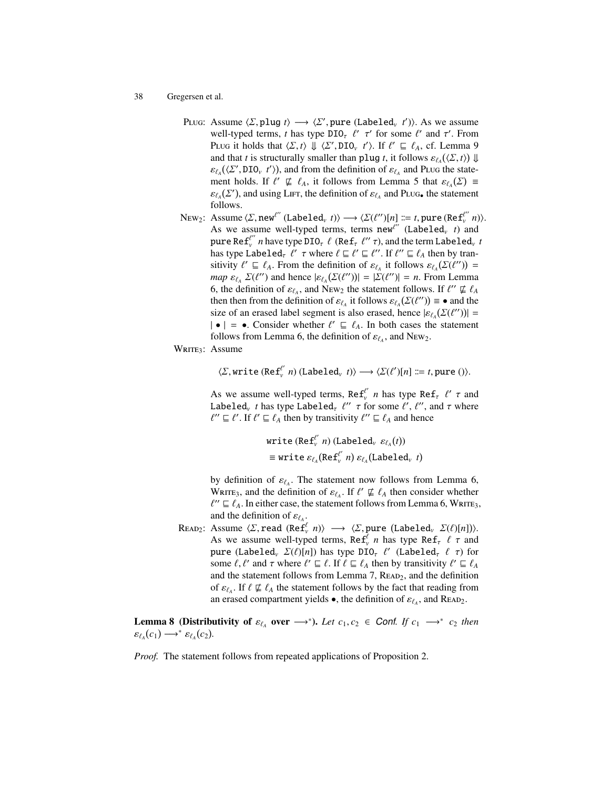- PLug: Assume  $\langle \Sigma, \text{plug } t \rangle \longrightarrow \langle \Sigma', \text{pure } ( \text{Labeled}_v \ t' ) \rangle$ . As we assume well-typed terms t has type DTO  $f' \tau'$  for some  $f'$  and  $\tau'$ . From well-typed terms, *t* has type  $\text{DIO}_T \ell' \tau'$  for some  $\ell'$  and  $\tau'$ . From<br>Putte it holds that  $\langle \Sigma \tau \rangle \parallel \langle \Sigma' \text{ DIO} \tau' \rangle$ . If  $\ell' \subseteq \ell$ , of Lemma 9 PLUG it holds that  $\langle \Sigma, t \rangle \Downarrow \langle \Sigma', \text{DIO}_v t' \rangle$ . If  $\ell' \sqsubseteq \ell_A$ , cf. Lemma 9<br>and that t is structurally smaller than plug t it follows  $s_e$  (( $\Sigma$  t)) || and that *t* is structurally smaller than plug *t*, it follows  $\varepsilon_{\ell_A}(\langle \Sigma, t \rangle) \Downarrow$ <br> $\varepsilon_{\ell_A}(\langle \Sigma, t \rangle)$  and from the definition of  $\varepsilon_{\ell_A}$  and Putte the statement holds. If  $\ell' \not\sqsubseteq \ell_A$ , it follows from Lemma 5 that  $\varepsilon_{\ell_A}(\Sigma) =$ <br>sec  $(\Sigma')$  and using Lemma Lemma 6 that  $\varepsilon_{\ell_A}(\Sigma)$  $(\langle \Sigma', \text{DIO}_v, t' \rangle)$ , and from the definition of  $\varepsilon_{\ell_A}$  and Plug the state-<br>nt holds. If  $f' \not\sqsubset f$ , it follows from Lemma 5 that  $\varepsilon_{\ell}(\Sigma) =$  $(\Sigma')$ , and using Lift, the definition of  $\varepsilon_{\ell_A}$  and PLug• the statement  $\mathcal{L}_{\ell_A}(\mathcal{L})$ ,<br>follows.
- New<sub>2</sub>: Assume  $\langle \Sigma, new^{\ell''} (Labeled_v t) \rangle \longrightarrow \langle \Sigma(\ell'')[n] ::= t, pure (Ref^{\ell''}_{v} n) \rangle.$ <br>As we assume well-typed terms terms new<sup>er</sup> (Labeled t) and As we assume well-typed terms, terms  $\text{new}^{\ell''}$  (Labeled<sub>*v*</sub> *t*) and **pure Ref**<sup>e"</sup> *n* have type  $\text{DD}_\tau \ell$  (Ref<sub> $\tau$ </sub>  $\ell''$   $\tau$ ), and the term Labeled<sub>*v*</sub> *t* has type Labeled  $\ell'$   $\tau$  where  $\ell \in \ell' \cap \ell''$  If  $\ell'' \subset \ell$ , then by transitional that  $\ell'$ has type Labeled<sub>τ</sub>  $\ell'$   $\tau$  where  $\ell \subseteq \ell' \subseteq \ell''$ . If  $\ell'' \subseteq \ell_A$  then by tran-<br>sitivity  $\ell' \sqsubset \ell_A$ . From the definition of securify follows sec $(\Sigma(\ell''))$ . sitivity  $\ell' \subseteq \ell_A$ . From the definition of  $\varepsilon_{\ell_A}$  it follows  $\varepsilon_{\ell_A}(\Sigma(\ell''))$  = <br>man  $\varepsilon_{\ell_A} \Sigma(\ell'')$  and hence  $|\varepsilon_{\ell_A}( \Sigma(\ell''))| - |\Sigma(\ell'')| = n$ . From I emma *map*  $\varepsilon_{\ell_A} \Sigma(\ell'')$  and hence  $|\varepsilon_{\ell_A}(\Sigma(\ell''))| = |\Sigma(\ell'')| = n$ . From Lemma<br>6 the definition of  $\varepsilon_{\ell_A}$  and News the statement follows If  $\ell''$   $\not\tau \ell_A$ . 6, the definition of  $\varepsilon_{\ell_A}$ , and New<sub>2</sub> the statement follows. If  $\ell'' \nsubseteq \ell_A$ <br>then then from the definition of  $\varepsilon_{\ell_A}$  it follows  $\varepsilon_{\ell_A}(\Sigma(\ell'')) = \varepsilon$  and the then then from the definition of  $\varepsilon_{\ell_A}$  it follows  $\varepsilon_{\ell_A}(\Sigma(\ell'')) \equiv \bullet$  and the size of an erased label segment is also erased hence  $|\varepsilon_{\ell_A}(\Sigma(\ell''))|$ size of an erased label segment is also erased, hence  $|\varepsilon_{\ell_A}(\Sigma(\ell''))|$  =  $|\bullet| = \bullet$  Consider whether  $\ell' \subseteq \ell$ . In both cases the statement  $|\bullet| = \bullet$ . Consider whether  $\ell' \subseteq \ell_A$ . In both cases the statement follows from I emma 6, the definition of  $\varepsilon_{\ell}$  and News follows from Lemma 6, the definition of  $\varepsilon_{\ell_A}$ , and New<sub>2</sub>.

WRITE3: Assume

 $\langle \Sigma, \text{write } (\text{Ref}^{\ell'}_v n) \text{ (Labeled}_v t) \rangle \longrightarrow \langle \Sigma(\ell')[n] ::= t, \text{pure } () \rangle.$ 

As we assume well-typed terms,  $\text{Ref}_v^{l'}$  *n* has type  $\text{Ref}_\tau$   $l'$   $\tau$  and  $\tau$  where Labeled<sub>v</sub> *t* has type Labeled<sub>τ</sub>  $\ell''$   $\tau$  for some  $\ell'$ ,  $\ell''$ , and  $\tau$  where  $\ell'' \subset \ell'$ . If  $\ell' \subset \ell$ , then by transitivity  $\ell'' \subset \ell$ , and hence  $\ell'' \sqsubseteq \ell'$ . If  $\ell' \sqsubseteq \ell_A$  then by transitivity  $\ell'' \sqsubseteq \ell_A$  and hence

> $\textsf{write} \ (\textsf{Ref}^{\ell'}_v \ n) \ (\textsf{Labeled}_v \ \ \varepsilon_{\ell_A}(t))$  $\equiv$  write  $\varepsilon_{\ell_A}$ (Ref $_{\nu}^{\ell'}$  *n*)  $\varepsilon_{\ell_A}$ (Labeled<sub>*v*</sub> *t*)

by definition of  $\varepsilon_{\ell_A}$ . The statement now follows from Lemma 6,<br>Weither and the definition of  $\varepsilon_{\ell_A}$ . If  $f' \not\subset f$ , then consider whether WRITE<sub>3</sub>, and the definition of  $\varepsilon_{\ell_A}$ . If  $\ell' \nsubseteq \ell_A$  then consider whether  $\ell'' \subset \ell_A$ . In either case, the statement follows from I emma 6. WRITES and the definition of  $\varepsilon_{\ell_A}$ .<br>Assume  $\sqrt{\Sigma}$  read (Ref<sup>t</sup>)  $\ell'' \sqsubseteq \ell_A$ . In either case, the statement follows from Lemma 6, WRITE<sub>3</sub>,

READ<sub>2</sub>: Assume  $\langle \Sigma, \text{read } (\text{Ref}^{\ell}, n) \rangle \longrightarrow \langle \Sigma, \text{pure } (\text{Labeled}_v \Sigma(\ell)[n]) \rangle$ .<br>As we assume well-typed terms  $\text{Ref}^{\ell}$  *n* has type Ref.  $\ell \tau$  and As we assume well-typed terms,  $\text{Ref}^{\ell}_{\nu}$  *n* has type  $\text{Ref}_{\tau}$   $\ell \tau$  and  $\text{pure}$   $\Gamma$  and  $\text{plane}$   $\ell \tau$  for pure (Labeled<sub>*v*</sub>  $\Sigma(\ell)[n]$ ) has type DIO<sub>τ</sub>  $\ell'$  (Labeled<sub>*t</sub>*  $\ell$   $\tau$ ) for some  $\ell$   $\ell'$  and  $\tau$  where  $\ell' \sqsubset \ell$  If  $\ell \sqsubset \ell$ , then by transitivity  $\ell' \sqsubset \ell$ .</sub> some  $\ell$ ,  $\ell'$  and  $\tau$  where  $\ell' \sqsubseteq \ell$ . If  $\ell \sqsubseteq \ell_A$  then by transitivity  $\ell' \sqsubseteq \ell_A$ <br>and the statement follows from I emma 7. READs, and the definition and the statement follows from Lemma 7,  $\text{Reap}_2$ , and the definition of  $\varepsilon_{\ell_A}$ . If  $\ell \nsubseteq \ell_A$  the statement follows by the fact that reading from<br>an erased compartment vields **e** the definition of  $\varepsilon_{\ell_A}$  and **READS** an erased compartment yields  $\bullet$ , the definition of  $\varepsilon_{\ell_A}$ , and READ<sub>2</sub>.

**Lemma 8 (Distributivity of**  $\varepsilon_{\ell_A}$  over  $\longrightarrow^*$ ). Let  $c_1, c_2 \in$  Conf. If  $c_1 \longrightarrow^* c_2$  then  $\varepsilon_{\ell}(c_1) \longrightarrow^* \varepsilon_{\ell}(c_2)$  $\varepsilon_{\ell_A}(c_1) \longrightarrow^*$  $\varepsilon_{\ell_A}(c_2)$ .

*Proof.* The statement follows from repeated applications of Proposition 2.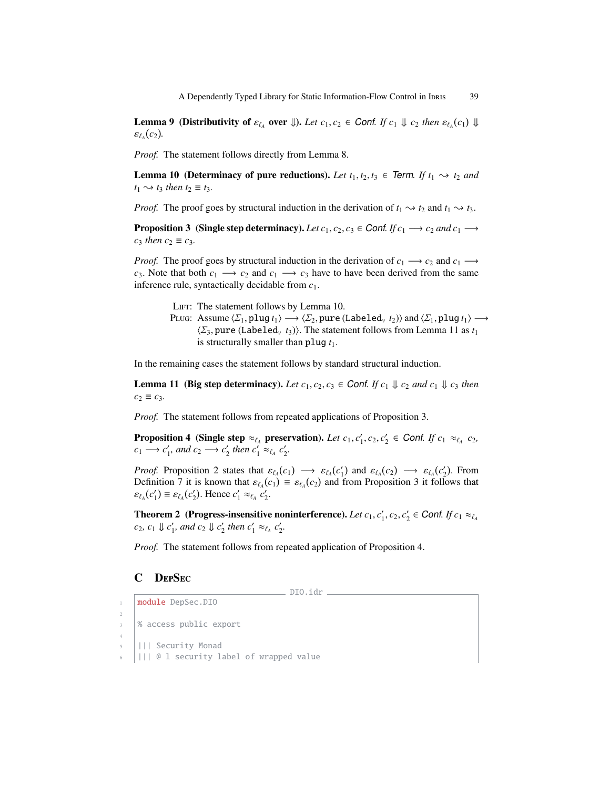**Lemma 9** (Distributivity of  $\varepsilon_{\ell_A}$  over  $\downarrow\downarrow$ ). Let  $c_1, c_2 \in$  Conf. If  $c_1 \downarrow c_2$  then  $\varepsilon_{\ell_A}(c_1) \downarrow \varepsilon_{\ell_B}(c_2)$  $\varepsilon_{\ell_A}(c_2)$ .

*Proof.* The statement follows directly from Lemma 8.

**Lemma 10** (Determinacy of pure reductions). Let  $t_1, t_2, t_3 \in \text{Term}$ . If  $t_1 \rightsquigarrow t_2$  and  $t_1 \rightarrow t_3$  *then*  $t_2 \equiv t_3$ *.* 

*Proof.* The proof goes by structural induction in the derivation of  $t_1 \rightarrow t_2$  and  $t_1 \rightarrow t_3$ .

**Proposition 3** (Single step determinacy). Let  $c_1, c_2, c_3 \in \text{Conf. If } c_1 \longrightarrow c_2 \text{ and } c_1 \longrightarrow c_2$ *c*<sub>3</sub> *then*  $c_2 \equiv c_3$ *.* 

*Proof.* The proof goes by structural induction in the derivation of  $c_1 \rightarrow c_2$  and  $c_1 \rightarrow c_2$ *c*<sub>3</sub>. Note that both  $c_1 \rightarrow c_2$  and  $c_1 \rightarrow c_3$  have to have been derived from the same inference rule, syntactically decidable from *c*1.

LIFT: The statement follows by Lemma 10.

PLug: Assume  $\langle \Sigma_1, \text{plug } t_1 \rangle \longrightarrow \langle \Sigma_2, \text{pure } (\text{Labeled}_v t_2) \rangle$  and  $\langle \Sigma_1, \text{plug } t_1 \rangle \longrightarrow$  $\langle \Sigma_3$ , pure (Labeled<sub>*v*</sub> *t*<sub>3</sub>)). The statement follows from Lemma 11 as *t*<sub>1</sub> is structurally smaller than plug  $t_1$ .

In the remaining cases the statement follows by standard structural induction.

**Lemma 11** (Big step determinacy). Let  $c_1, c_2, c_3 \in$  Conf. If  $c_1 \Downarrow c_2$  and  $c_1 \Downarrow c_3$  then  $c_2 \equiv c_3$ .

*Proof.* The statement follows from repeated applications of Proposition 3.

**Proposition 4** (Single step  $\approx_{\ell_A}$  preservation). Let  $c_1, c'_1, c_2, c'_2 \in$  Conf. If  $c_1 \approx_{\ell_A} c_2$ ,  $c'_1 \implies c'_1$  and  $c_2 \implies c'_2$  then  $c'_2 \approx_{\ell_A} c'_1$  $c_1 \longrightarrow c'_1$ , and  $c_2 \longrightarrow c'_2$  then  $c'_1 \approx_{\ell_A} c'_2$ .

*Proof.* Proposition 2 states that  $\varepsilon_{\ell_A}(c_1) \longrightarrow \varepsilon_{\ell_A}(c'_1)$  and  $\varepsilon_{\ell_A}(c_2) \longrightarrow \varepsilon_{\ell_A}(c'_2)$ . From Definition 7 it is known that  $\varepsilon_{\ell_A}(c_2) = \varepsilon_{\ell_A}(c_2)$  and from Proposition 3 it follows that Definition 7 it is known that  $\varepsilon_{\ell_A}(c_1) \equiv \varepsilon_{\ell_A}(c_2)$  and from Proposition 3 it follows that  $\varepsilon_{\ell_A}(c_1') = \varepsilon_{\ell_A}(c_2')$ . Hence  $c_1' \approx c_1' c_2'$  $\varepsilon_{\ell_A}(c'_1) \equiv \varepsilon_{\ell_A}(c'_2)$ . Hence  $c'_1 \approx_{\ell_A} c'_2$ .

**Theorem 2** (Progress-insensitive noninterference). Let  $c_1$ ,  $c'_1$ ,  $c_2$ ,  $c'_2$   $\in$  Conf. If  $c_1 \approx_{\ell_A} c_A$ <br> $\infty$ ,  $c'$  and  $c_2 \parallel c'_1$  then  $c'_1 \approx_{\ell_A} c'_2$  $c_2, c_1 \Downarrow c'_1,$  and  $c_2 \Downarrow c'_2$  then  $c'_1 \approx_{\ell_A} c'_2$ .

*Proof.* The statement follows from repeated application of Proposition 4.

## C DepSec

```
DIO.idr
```

```
module DepSec.DIO
2
3 % access public export
4
5 ||| Security Monad
6 ||| @ l security label of wrapped value
```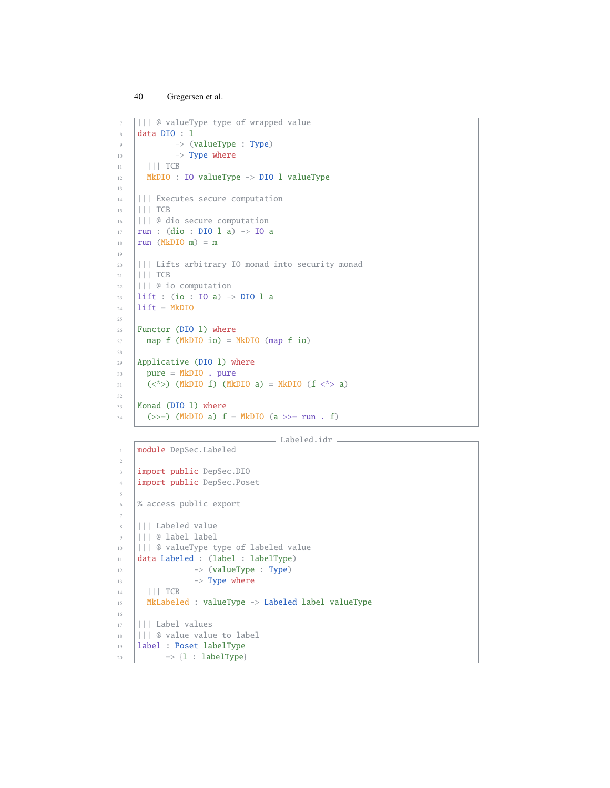```
7 ||| @ valueType type of wrapped value
8 data DIO : 1
9 \rightarrow \text{(valueType : Type)}10 -> Type where
11 ||| TCB
12 MkDIO : IO valueType -> DIO l valueType
13
14 |||| Executes secure computation
15 ||| TCB
16 ||| @ dio secure computation
17 run : (dio : DIO 1 a) -> IO a
_{18} run (MkDIO m) = m
19
20 ||| Lifts arbitrary IO monad into security monad
21 ||| TCB
_{22} ||| @ io computation
23 | lift : (io : IO a) \rightarrow DIO 1 a
_{24} | lift = MkDIO
25
26 Functor (DIO l) where
27 map f (MkDIO io) = MkDIO (map f io)
28
29 Applicative (DIO l) where
30 pure = MkDIO . pure
31 ( \langle \langle * \rangle ) (MkDIO f) (MkDIO a) = MkDIO (f \langle * \rangle a)
32
33 | Monad (DIO 1) where
34 (>>=) (MkDIO a) f = MkDIO (a >>= run . f)
```

```
Labeled.idr _
```

```
1 module DepSec.Labeled
2
3 import public DepSec.DIO
4 import public DepSec.Poset
5
6 % access public export
7
8 ||| Labeled value
9 ||| @ label label
10 ||| @ valueType type of labeled value
11 data Labeled : (label : labelType)
12 \rightarrow (valueType : Type)
13 -> Type where
14 ||| TCB
15 MkLabeled : valueType -> Labeled label valueType
16
17 ||| Label values
18 |||| @ value value to label
19 label : Poset labelType
_{20} => {1 : labelType}
```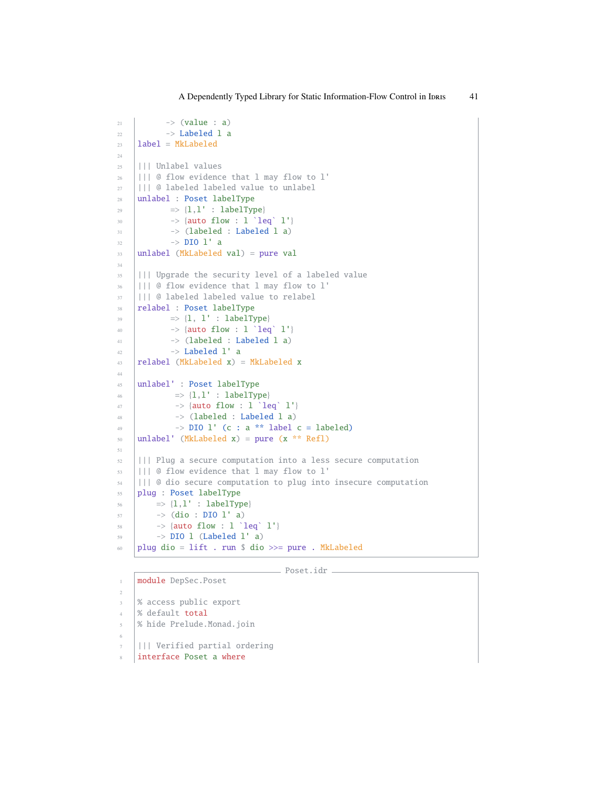```
_{21} \rightarrow (value : a)
22 -> Labeled 1 a
23 label = MkLabeled
24
25 ||| Unlabel values
_{26} ||| @ flow evidence that 1 may flow to 1'
27 ||| @ labeled labeled value to unlabel
28 unlabel : Poset labelType
29 \implies {1,1' : labelType}
30 \rightarrow {auto flow : l `leq` l'}
31 \rightarrow (labeled : Labeled l a)
32 -> DIO 1' a
33 unlabel (MkLabeled val) = pure val
34
35 ||| Upgrade the security level of a labeled value
36 ||| @ flow evidence that l may flow to l'
37 ||| @ labeled labeled value to relabel
38 relabel : Poset labelType
39 => {1, 1' : labelType}
40 \vert -> {auto flow : l `leq` l'}
41 \rightarrow (labeled : Labeled 1 a)
42 -> Labeled l'a
43 relabel (MkLabeled x) = MkLabeled x
44
45 unlabel' : Poset labelType
46 \vert \Rightarrow \{1, 1' : \text{labelType}\}\right\}47 \vert -> {auto flow : l `leq` l'}
48 \rightarrow (labeled : Labeled 1 a)
49 \vert -> DIO 1' (c : a ** label c = labeled)
50 | unlabel' (MkLabeled x) = pure (x * * Ref1)51
52 ||| Plug a secure computation into a less secure computation
53 ||| @ flow evidence that l may flow to l'
54 ||| @ dio secure computation to plug into insecure computation
55 plug : Poset labelType
56 \Rightarrow {1,1' : labelType}
57 \rightarrow (dio : DIO 1' a)
58 -> {auto flow : l `leq` l'}
59 -> DIO l (Labeled l' a)
60 plug dio = lift . run $ dio >>= pure . MkLabeled
```

```
Poset.idr
```

```
1 module DepSec.Poset
2
3 % access public export
4 % default total
5 % hide Prelude.Monad.join
6
7 ||| Verified partial ordering
8 interface Poset a where
```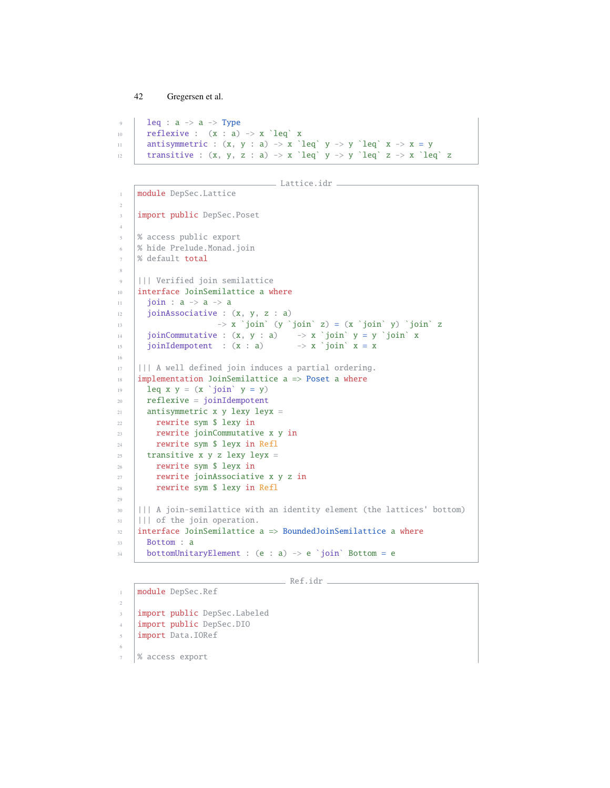```
9 leq : a \rightarrow a \rightarrow Type10 reflexive : (x : a) \rightarrow x \leq leg \geq x11 antisymmetric : (x, y : a) \rightarrow x 'leq' y \rightarrow y 'leq' x \rightarrow x = y12 transitive : (x, y, z : a) \rightarrow x 'leq' y \rightarrow y 'leq' z \rightarrow x 'leq' z
```

```
Lattice.idr
1 module DepSec.Lattice
2
3 import public DepSec.Poset
4
5 % access public export
6 % hide Prelude.Monad.join
7 \times default total
8
9 ||| Verified join semilattice
10 interface JoinSemilattice a where
11 join : a \rightarrow a \rightarrow a12 joinAssociative : (x, y, z : a)\Rightarrow x `join` (y `join` z) = (x `join` y) `join` z
14 joinCommutative : (x, y : a) \rightarrow x `join` y = y `join` x
15 joinIdempotent : (x : a) \rightarrow x `join` x = x16
17 ||| A well defined join induces a partial ordering.
18 | implementation JoinSemilattice a => Poset a where
19 \log x y = (x \text{ 'join' } y = y)20 reflexive = joinIdempotent
21 antisymmetric x y lexy leyx =
22 rewrite sym $ lexy in
23 rewrite joinCommutative x y in
24 rewrite sym $ leyx in Refl
25 transitive x y z lexy leyx =
26 rewrite sym $ leyx in
27 rewrite joinAssociative x y z in
28 rewrite sym $ lexy in Refl
29
30 ||| A join-semilattice with an identity element (the lattices' bottom)
31 ||| of the join operation.
32 interface JoinSemilattice a => BoundedJoinSemilattice a where
33 Bottom : a
34 bottomUnitaryElement : (e : a) \rightarrow e `join` Bottom = e
```
Ref.idr

```
\overline{2}3 import public DepSec.Labeled
4 import public DepSec.DIO
5 import Data.IORef
6
7 \times \times \text{access export}
```
**module** DepSec.Ref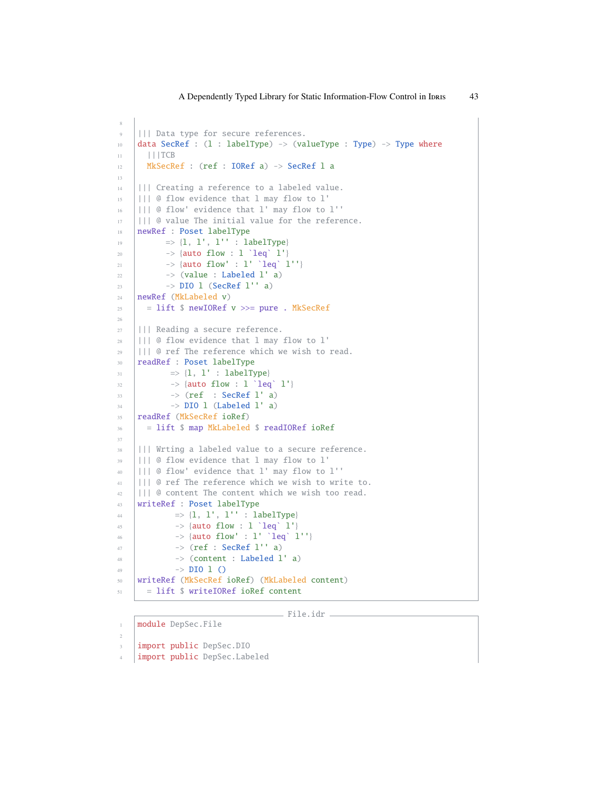```
8
9 |||| Data type for secure references.
10 data SecRef : (1 : labelType) -> (valueType : Type) -> Type where
11 ||TCB
12 MkSecRef : (ref : IORef a) \rightarrow SecRef 1 a
13
14 ||| Creating a reference to a labeled value.
15 ||| @ flow evidence that l may flow to l'
16 ||| @ flow' evidence that l' may flow to l''
17 ||| @ value The initial value for the reference.
18 newRef : Poset labelType
19 \Rightarrow {1, 1', 1'' : labelType}
20 \vert -> {auto flow : 1 `leq` 1'}
21 \vert \rightarrow {auto flow' : l' `leq` l''}
22 \rightarrow (value : Labeled l'a)
23 -> DIO 1 (SecRef 1'' a)
24 newRef (MkLabeled v)
25 \vert = lift $ newIORef v >>= pure . MkSecRef
26
27 ||| Reading a secure reference.
28 ||| @ flow evidence that l may flow to l'
29 ||| @ ref The reference which we wish to read.
30 readRef : Poset labelType
31 => {1, 1' : labelType}
32 \rightarrow {auto flow : l `leq` l'}
33 \rightarrow (ref : SecRef 1' a)
34 \rightarrow DIO 1 (Labeled 1' a)
35 readRef (MkSecRef ioRef)
36 = lift $ map MkLabeled $ readIORef ioRef
37
38 ||| Wrting a labeled value to a secure reference.
39 ||| @ flow evidence that l may flow to l'
40 ||| @ flow' evidence that l' may flow to l''
41 ||| @ ref The reference which we wish to write to.
42 |||| @ content The content which we wish too read.
43 writeRef : Poset labelType
_{44} => {1, 1', 1'' : labelType}
45 \vert -> {auto flow : l `leq` l'}
46 \vert -> {auto flow' : l' `leq` l''}
47 \vert -> (ref : SecRef 1'' a)
48 \rightarrow (content : Labeled l'a)
49 -> DIO 1 ()
50 writeRef (MkSecRef ioRef) (MkLabeled content)
51 = lift $ writeIORef ioRef content
```
#### $=$  File.idr  $=$

1 | module DepSec.File 

import public DepSec.DIO

import public DepSec.Labeled